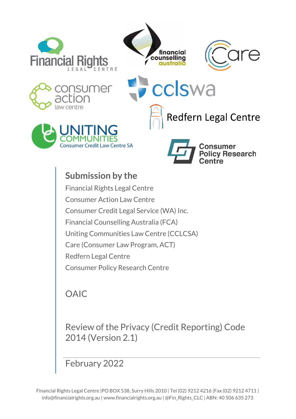







cclswa





**Redfern Legal Centre** 

# **Submission by the**  Financial Rights Legal Centre Consumer Action Law Centre Consumer Credit Legal Service (WA) Inc. Financial Counselling Australia (FCA) Uniting Communities Law Centre (CCLCSA) Care (Consumer Law Program, ACT) Redfern Legal Centre Consumer Policy Research Centre

# OAIC

Review of the Privacy (Credit Reporting) Code 2014 (Version 2.1)

February 2022

Financial Rights Legal Centre |PO BOX 538, Surry Hills 2010 | Tel (02) 9212 4216 |Fax (02) 9212 4711 | info@financialrights.org.au | www.financialrights.org.au | @Fin\_Rights\_CLC | ABN: 40 506 635 273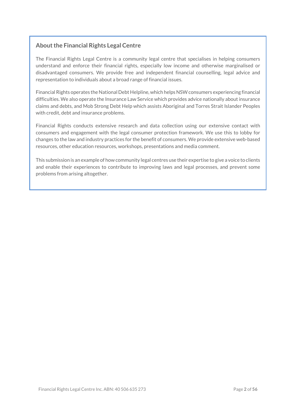# **About the Financial Rights Legal Centre**

The Financial Rights Legal Centre is a community legal centre that specialises in helping consumers understand and enforce their financial rights, especially low income and otherwise marginalised or disadvantaged consumers. We provide free and independent financial counselling, legal advice and representation to individuals about a broad range of financial issues.

Financial Rights operates the National Debt Helpline, which helps NSW consumers experiencing financial difficulties. We also operate the Insurance Law Service which provides advice nationally about insurance claims and debts, and Mob Strong Debt Help which assists Aboriginal and Torres Strait Islander Peoples with credit, debt and insurance problems.

Financial Rights conducts extensive research and data collection using our extensive contact with consumers and engagement with the legal consumer protection framework. We use this to lobby for changes to the law and industry practices for the benefit of consumers. We provide extensive web-based resources, other education resources, workshops, presentations and media comment.

This submission is an example of how community legal centres use their expertise to give a voice to clients and enable their experiences to contribute to improving laws and legal processes, and prevent some problems from arising altogether.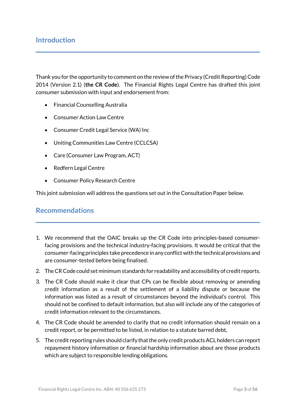# **Introduction**

Thank you for the opportunity to comment on the review of the Privacy (Credit Reporting) Code 2014 (Version 2.1) (**the CR Code**). The Financial Rights Legal Centre has drafted this joint consumer submission with input and endorsement from:

- Financial Counselling Australia
- Consumer Action Law Centre
- Consumer Credit Legal Service (WA) Inc
- Uniting Communities Law Centre (CCLCSA)
- Care (Consumer Law Program, ACT)
- Redfern Legal Centre
- Consumer Policy Research Centre

This joint submission will address the questions set out in the Consultation Paper below.

# **Recommendations**

- 1. We recommend that the OAIC breaks up the CR Code into principles-based consumerfacing provisions and the technical industry-facing provisions. It would be critical that the consumer-facing principles take precedence in any conflictwith the technical provisions and are consumer-tested before being finalised.
- 2. TheCRCode could set minimum standards for readability and accessibility of credit reports.
- 3. The CR Code should make it clear that CPs can be flexible about removing or amending credit information as a result of the settlement of a liability dispute or because the information was listed as a result of circumstances beyond the individual's control. This should not be confined to default information, but also will include any of the categories of credit information relevant to the circumstances.
- 4. The CR Code should be amended to clarify that no credit information should remain on a credit report, or be permitted to be listed, in relation to a statute barred debt,
- 5. The credit reporting rules should clarify that the only credit products ACL holders can report repayment history information or financial hardship information about are those products which are subject to responsible lending obligations.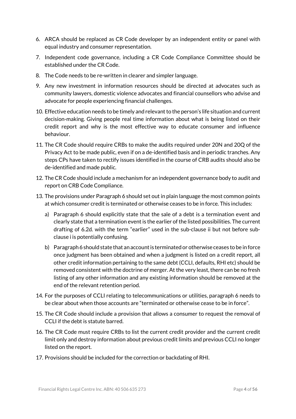- 6. ARCA should be replaced as CR Code developer by an independent entity or panel with equal industry and consumer representation.
- 7. Independent code governance, including a CR Code Compliance Committee should be established under the CR Code.
- 8. The Code needs to be re-written in clearer and simpler language.
- 9. Any new investment in information resources should be directed at advocates such as community lawyers, domestic violence advocates and financial counsellors who advise and advocate for people experiencing financial challenges.
- 10. Effective education needs to be timely and relevant to the person's life situation and current decision-making. Giving people real time information about what is being listed on their credit report and why is the most effective way to educate consumer and influence behaviour.
- 11. The CR Code should require CRBs to make the audits required under 20N and 20Q of the Privacy Act to be made public, even if on a de-identified basis and in periodic tranches. Any steps CPs have taken to rectify issues identified in the course of CRB audits should also be de-identified and made public.
- 12. The CR Code should include a mechanism for an independent governance body to audit and report on CRB Code Compliance.
- 13. The provisions under Paragraph 6 should set out in plain language the most common points at which consumer credit is terminated or otherwise ceases to be in force. This includes:
	- a) Paragraph 6 should explicitly state that the sale of a debt is a termination event and clearly state that a termination eventis the earlier ofthe listed possibilities. The current drafting of 6.2d. with the term "earlier" used in the sub-clause ii but not before subclause i is potentially confusing.
	- b) Paragraph 6 should state that an account is terminated or otherwise ceases to be in force once judgment has been obtained and when a judgment is listed on a credit report, all other credit information pertaining to the same debt (CCLI, defaults, RHI etc) should be removed consistent with the doctrine of merger. At the very least, there can be no fresh listing of any other information and any existing information should be removed at the end of the relevant retention period.
- 14. For the purposes of CCLI relating to telecommunications or utilities, paragraph 6 needs to be clear about when those accounts are "terminated or otherwise cease to be in force".
- 15. The CR Code should include a provision that allows a consumer to request the removal of CCLI if the debt is statute barred.
- 16. The CR Code must require CRBs to list the current credit provider and the current credit limit only and destroy information about previous credit limits and previous CCLI no longer listed on the report.
- 17. Provisions should be included for the correction or backdating of RHI.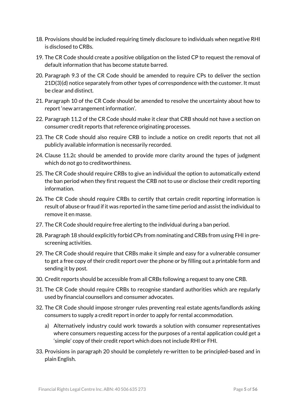- 18. Provisions should be included requiring timely disclosure to individuals when negative RHI is disclosed to CRBs.
- 19. The CR Code should create a positive obligation on the listed CP to request the removal of default information that has become statute barred.
- 20. Paragraph 9.3 of the CR Code should be amended to require CPs to deliver the section 21D(3)(d) notice separately from other types of correspondence with the customer. It must be clear and distinct.
- 21. Paragraph 10 of the CR Code should be amended to resolve the uncertainty about how to report 'new arrangement information'.
- 22. Paragraph 11.2 of the CR Code should make it clear that CRB should not have a section on consumer credit reports that reference originating processes.
- 23. The CR Code should also require CRB to include a notice on credit reports that not all publicly available information is necessarily recorded.
- 24. Clause 11.2c should be amended to provide more clarity around the types of judgment which do not go to creditworthiness.
- 25. The CR Code should require CRBs to give an individual the option to automatically extend the ban period when they first request the CRB not to use or disclose their credit reporting information.
- 26. The CR Code should require CRBs to certify that certain credit reporting information is result of abuse or fraud if it was reported in the same time period and assist the individual to remove it en masse.
- 27. The CR Code should require free alerting to the individual during a ban period.
- 28. Paragraph 18 should explicitly forbid CPs from nominating and CRBs from using FHI in prescreening activities.
- 29. The CR Code should require that CRBs make it simple and easy for a vulnerable consumer to get a free copy of their credit report over the phone or by filling out a printable form and sending it by post.
- 30. Credit reports should be accessible from all CRBs following a request to any one CRB.
- 31. The CR Code should require CRBs to recognise standard authorities which are regularly used by financial counsellors and consumer advocates.
- 32. The CR Code should impose stronger rules preventing real estate agents/landlords asking consumers to supply a credit reportin order to apply for rental accommodation.
	- a) Alternatively industry could work towards a solution with consumer representatives where consumers requesting access for the purposes of a rental application could get a 'simple' copy of their credit report which does notinclude RHI or FHI.
- 33. Provisions in paragraph 20 should be completely re-written to be principled-based and in plain English.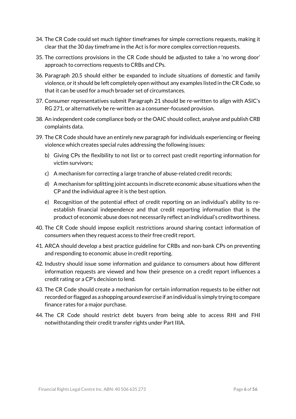- 34. The CR Code could set much tighter timeframes for simple corrections requests, making it clear that the 30 day timeframe in the Act is for more complex correction requests.
- 35. The corrections provisions in the CR Code should be adjusted to take a 'no wrong door' approach to corrections requests to CRBs and CPs.
- 36. Paragraph 20.5 should either be expanded to include situations of domestic and family violence, or it should be left completely open without any examples listed in theCRCode, so that it can be used for a much broader set of circumstances.
- 37. Consumer representatives submit Paragraph 21 should be re-written to align with ASIC's RG 271, or alternatively be re-written as a consumer-focused provision.
- 38. An independent code compliance body or the OAIC should collect, analyse and publish CRB complaints data.
- 39. The CR Code should have an entirely new paragraph for individuals experiencing or fleeing violence which creates special rules addressing the following issues:
	- b) Giving CPs the flexibility to not list or to correct past credit reporting information for victim survivors;
	- c) A mechanism for correcting a large tranche of abuse-related credit records;
	- d) A mechanism for splitting joint accounts in discrete economic abuse situations when the CP and the individual agree it is the best option.
	- e) Recognition of the potential effect of credit reporting on an individual's ability to reestablish financial independence and that credit reporting information that is the product of economic abuse does not necessarily reflect an individual's creditworthiness.
- 40. The CR Code should impose explicit restrictions around sharing contact information of consumers when they request access to their free credit report.
- 41. ARCA should develop a best practice guideline for CRBs and non-bank CPs on preventing and responding to economic abuse in credit reporting.
- 42. Industry should issue some information and guidance to consumers about how different information requests are viewed and how their presence on a credit report influences a credit rating or a CP's decision to lend.
- 43. The CR Code should create a mechanism for certain information requests to be either not recorded or flaggedas a shopping around exercise if an individual is simply trying to compare finance rates for a major purchase.
- 44. The CR Code should restrict debt buyers from being able to access RHI and FHI notwithstanding their credit transfer rights under Part IIIA.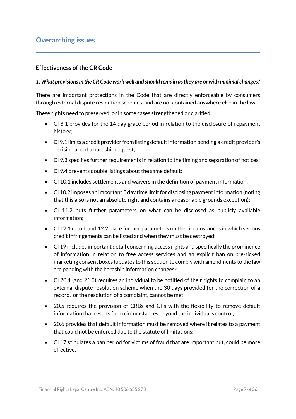# **Overarching issues**

#### **Effectiveness of the CR Code**

#### *1. What provisions in the CR Code work well and should remain as they are or with minimal changes?*

There are important protections in the Code that are directly enforceable by consumers through external dispute resolution schemes, and are not contained anywhere else in the law.

These rights need to preserved, or in some cases strengthened or clarified:

- Cl 8.1 provides for the 14 day grace period in relation to the disclosure of repayment history;
- Cl 9.1 limits a credit provider from listing default information pending a credit provider's decision about a hardship request;
- Cl 9.3 specifies further requirements in relation to the timing and separation of notices;
- Cl 9.4 prevents double listings about the same default;
- Cl 10.1 includes settlements and waivers in the definition of payment information;
- Cl 10.2 imposes an important 3 day time limit for disclosing payment information (noting that this also is not an absolute right and contains a reasonable grounds exception);
- Cl 11.2 puts further parameters on what can be disclosed as publicly available information;
- Cl 12.1 d. to f. and 12.2 place further parameters on the circumstances in which serious credit infringements can be listed and when they must be destroyed;
- Cl 19 includes important detail concerning access rights and specifically the prominence of information in relation to free access services and an explicit ban on pre-ticked marketing consent boxes (updates to this section to comply with amendments to the law are pending with the hardship information changes);
- Cl 20.1 (and 21.3) requires an individual to be notified of their rights to complain to an external dispute resolution scheme when the 30 days provided for the correction of a record, or the resolution of a complaint, cannot be met;
- 20.5 requires the provision of CRBs and CPs with the flexibility to remove default information that results from circumstances beyond the individual's control;
- 20.6 provides that default information must be removed where it relates to a payment that could not be enforced due to the statute of limitations;
- Cl 17 stipulates a ban period for victims of fraud that are important but, could be more effective.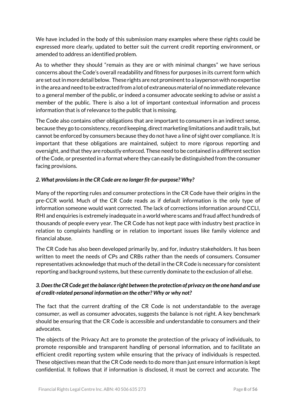We have included in the body of this submission many examples where these rights could be expressed more clearly, updated to better suit the current credit reporting environment, or amended to address an identified problem.

As to whether they should "remain as they are or with minimal changes" we have serious concerns about the Code's overall readability and fitness for purposes in its current form which are set out in more detail below. These rights are not prominent to a laypersonwith no expertise in the area and need to be extracted from a lot of extraneous material of no immediate relevance to a general member of the public, or indeed a consumer advocate seeking to advise or assist a member of the public. There is also a lot of important contextual information and process information that is of relevance to the public that is missing.

The Code also contains other obligations that are important to consumers in an indirect sense, because they go to consistency, record keeping, direct marketing limitations and audit trails, but cannot be enforced by consumers because they do not have a line of sight over compliance. It is important that these obligations are maintained, subject to more rigorous reporting and oversight, and that they are robustly enforced. These need to be contained in a different section of the Code, or presented in a format where they can easily be distinguished from the consumer facing provisions.

#### *2. What provisions in the CR Code are no longer fit-for-purpose? Why?*

Many of the reporting rules and consumer protections in the CR Code have their origins in the pre-CCR world. Much of the CR Code reads as if default information is the only type of information someone would want corrected. The lack of corrections information around CCLI, RHI and enquiries is extremely inadequate in a world where scams and fraud affect hundreds of thousands of people every year. The CR Code has not kept pace with industry best practice in relation to complaints handling or in relation to important issues like family violence and financial abuse.

The CR Code has also been developed primarily by, and for, industry stakeholders. It has been written to meet the needs of CPs and CRBs rather than the needs of consumers. Consumer representatives acknowledge that much of the detail in the CR Code is necessary for consistent reporting and background systems, but these currently dominate to the exclusion of all else.

## *3. Does the CR Code get the balance right between the protection of privacy on the one hand and use of credit-related personal information on the other? Why or why not?*

The fact that the current drafting of the CR Code is not understandable to the average consumer, as well as consumer advocates, suggests the balance is not right. A key benchmark should be ensuring that the CR Code is accessible and understandable to consumers and their advocates.

The objects of the Privacy Act are to promote the protection of the privacy of individuals, to promote responsible and transparent handling of personal information, and to facilitate an efficient credit reporting system while ensuring that the privacy of individuals is respected. These objectives mean that the CR Code needs to do more than just ensure information is kept confidential. It follows that if information is disclosed, it must be correct and accurate. The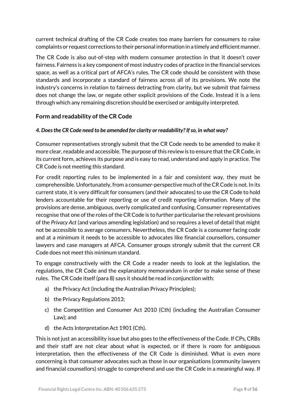current technical drafting of the CR Code creates too many barriers for consumers to raise complaints or request corrections to their personal information in a timely and efficient manner.

The CR Code is also out-of-step with modern consumer protection in that it doesn't cover fairness. Fairness is a key component of most industry codes of practice in the financial services space, as well as a critical part of AFCA's rules. The CR code should be consistent with those standards and incorporate a standard of fairness across all of its provisions. We note the industry's concerns in relation to fairness detracting from clarity, but we submit that fairness does not change the law, or negate other explicit provisions of the Code. Instead it is a lens through which any remaining discretion should be exercised or ambiguity interpreted.

## **Form and readability of the CR Code**

#### *4. Does the CR Code need to be amended for clarity or readability? If so, in what way?*

Consumer representatives strongly submit that the CR Code needs to be amended to make it more clear, readable and accessible. The purpose of this review is to ensure that the CR Code, in its current form, achieves its purpose and is easy to read, understand and apply in practice. The CR Code is not meeting this standard.

For credit reporting rules to be implemented in a fair and consistent way, they must be comprehensible. Unfortunately, from a consumer-perspective much ofthe CR Code is not. In its current state, it is very difficult for consumers (and their advocates) to use the CR Code to hold lenders accountable for their reporting or use of credit reporting information. Many of the provisions are dense, ambiguous, overly complicated and confusing. Consumer representatives recognise that one of the roles of the CR Code is to further particularise the relevant provisions of the *Privacy Act* (and various amending legislation) and so requires a level of detail that might not be accessible to average consumers. Nevertheless, the CR Code is a consumer facing code and at a minimum it needs to be accessible to advocates like financial counsellors, consumer lawyers and case managers at AFCA. Consumer groups strongly submit that the current CR Code does not meet this minimum standard.

To engage constructively with the CR Code a reader needs to look at the legislation, the regulations, the CR Code and the explanatory memorandum in order to make sense of these rules. The CR Code itself (para 8) says it should be read in conjunction with:

- a) the Privacy Act (including the Australian Privacy Principles);
- b) the Privacy Regulations 2013;
- c) the Competition and Consumer Act 2010 (Cth) (including the Australian Consumer Law); and
- d) the Acts Interpretation Act 1901 (Cth).

This is not just an accessibility issue but also goes to the effectiveness of the Code. If CPs, CRBs and their staff are not clear about what is expected, or if there is room for ambiguous interpretation, then the effectiveness of the CR Code is diminished. What is even more concerning is that consumer advocates such as those in our organisations (community lawyers and financial counsellors) struggle to comprehend and use the CR Code in a meaningful way. If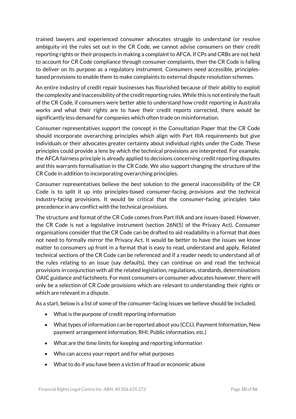trained lawyers and experienced consumer advocates struggle to understand (or resolve ambiguity in) the rules set out in the CR Code, we cannot advise consumers on their credit reporting rights or their prospects in making a complaint to AFCA. If CPs and CRBs are not held to account for CR Code compliance through consumer complaints, then the CR Code is failing to deliver on its purpose as a regulatory instrument. Consumers need accessible, principlesbased provisions to enable them to make complaints to external dispute resolution schemes.

An entire industry of credit repair businesses has flourished because of their ability to exploit the complexity and inaccessibility of the credit reporting rules. While this is not entirely the fault of the CR Code, if consumers were better able to understand how credit reporting in Australia works and what their rights are to have their credit reports corrected, there would be significantly less demand for companies which often trade on misinformation.

Consumer representatives support the concept in the Consultation Paper that the CR Code should incorporate overarching principles which align with Part IIIA requirements but give individuals or their advocates greater certainty about individual rights under the Code. These principles could provide a lens by which the technical provisions are interpreted. For example, the AFCA fairness principle is already applied to decisions concerning credit reporting disputes and this warrants formalisation in the CR Code. We also support changing the structure of the CR Code in addition to incorporating overarching principles.

Consumer representatives believe the best solution to the general inaccessibility of the CR Code is to split it up into principles-based consumer-facing provisions and the technical industry-facing provisions. It would be critical that the consumer-facing principles take precedence in any conflict with the technical provisions.

The structure and format of the CR Code comes from Part IIIA and are issues-based. However, the CR Code is not a legislative instrument (section 26N(5) of the Privacy Act). Consumer organisations consider that the CR Code can be drafted to aid readability in a format that does not need to formally mirror the Privacy Act. It would be better to have the issues we know matter to consumers up front in a format that is easy to read, understand and apply. Related technical sections of the CR Code can be referenced and if a reader needs to understand all of the rules relating to an issue (say defaults), they can continue on and read the technical provisions in conjunction with all the related legislation, regulations, standards, determinations OAIC guidance and factsheets. For most consumers or consumer advocates however, there will only be a selection of CR Code provisions which are relevant to understanding their rights or which are relevant in a dispute.

As a start, below is a list of some of the consumer-facing issues we believe should be included.

- What is the purpose of credit reporting information
- What types of information can be reported about you (CCLI, Payment Information, New payment arrangement information, RHI, Public information, etc.)
- What are the time limits for keeping and reporting information
- Who can access your report and for what purposes
- What to do if you have been a victim of fraud or economic abuse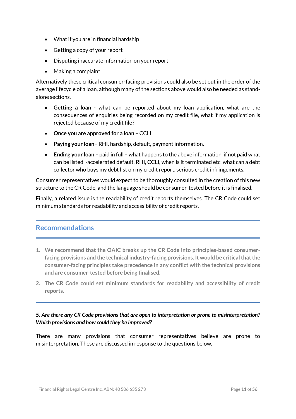- What if you are in financial hardship
- Getting a copy of your report
- Disputing inaccurate information on your report
- Making a complaint

Alternatively these critical consumer-facing provisions could also be set out in the order of the average lifecycle of a loan, although many of the sections above would also be needed as standalone sections.

- **Getting a loan** what can be reported about my loan application, what are the consequences of enquiries being recorded on my credit file, what if my application is rejected because of my credit file?
- **Once you are approved for a loan** CCLI
- **Paying your loan** RHI, hardship, default, payment information,
- **Ending your loan** paid in full what happens to the above information, if not paid what can be listed -accelerated default, RHI, CCLI, when is it terminated etc, what can a debt collector who buys my debt list on my credit report, serious credit infringements.

Consumer representatives would expect to be thoroughly consulted in the creation of this new structure to the CR Code, and the language should be consumer-tested before it is finalised.

Finally, a related issue is the readability of credit reports themselves. The CR Code could set minimum standards for readability and accessibility of credit reports.

# **Recommendations**

- **1. We recommend that the OAIC breaks up the CR Code into principles-based consumerfacing provisions and the technical industry-facing provisions. It would be criticalthatthe consumer-facing principles take precedence in any conflict with the technical provisions and are consumer-tested before being finalised.**
- **2. The CR Code could set minimum standards for readability and accessibility of credit reports.**

## *5. Are there any CR Code provisions that are open to interpretation or prone to misinterpretation? Which provisions and how could they be improved?*

There are many provisions that consumer representatives believe are prone to misinterpretation. These are discussed in response to the questions below.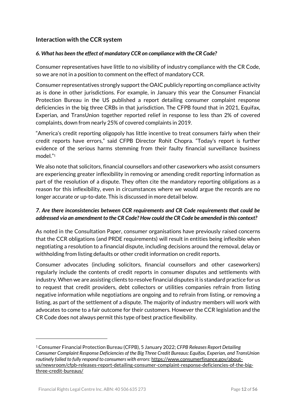## **Interaction with the CCR system**

#### *6. What has been the effect of mandatory CCR on compliance with the CR Code?*

Consumer representatives have little to no visibility of industry compliance with the CR Code, so we are not in a position to comment on the effect of mandatory CCR.

Consumer representatives strongly support the OAIC publicly reporting on compliance activity as is done in other jurisdictions. For example, in January this year the Consumer Financial Protection Bureau in the US published a report detailing consumer complaint response deficiencies in the big three CRBs in that jurisdiction. The CFPB found that in 2021, Equifax, Experian, and TransUnion together reported relief in response to less than 2% of covered complaints, down from nearly 25% of covered complaints in 2019.

"America's credit reporting oligopoly has little incentive to treat consumers fairly when their credit reports have errors," said CFPB Director Rohit Chopra. "Today's report is further evidence of the serious harms stemming from their faulty financial surveillance business model."<sup>1</sup>

We also note that solicitors, financial counsellors and other caseworkers who assist consumers are experiencing greater inflexibility in removing or amending credit reporting information as part of the resolution of a dispute. They often cite the mandatory reporting obligations as a reason for this inflexibility, even in circumstances where we would argue the records are no longer accurate or up-to-date. This is discussed in more detail below.

### *7. Are there inconsistencies between CCR requirements and CR Code requirements that could be addressed via an amendment to the CR Code? How could the CR Code be amended in this context?*

As noted in the Consultation Paper, consumer organisations have previously raised concerns that the CCR obligations (and PRDE requirements) will result in entities being inflexible when negotiating a resolution to a financial dispute, including decisions around the removal, delay or withholding from listing defaults or other credit information on credit reports.

Consumer advocates (including solicitors, financial counsellors and other caseworkers) regularly include the contents of credit reports in consumer disputes and settlements with industry. When we are assisting clients to resolve financial disputes it is standard practice for us to request that credit providers, debt collectors or utilities companies refrain from listing negative information while negotiations are ongoing and to refrain from listing, or removing a listing, as part of the settlement of a dispute. The majority of industry members will work with advocates to come to a fair outcome for their customers. However the CCR legislation and the CR Code does not always permit this type of best practice flexibility.

<sup>1</sup> Consumer Financial Protection Bureau (CFPB), 5 January 2022; *CFPB Releases Report Detailing Consumer Complaint Response Deficiencies of the Big Three Credit Bureaus: Equifax, Experian, and TransUnion routinely failed to fully respond to consumers with errors*: [https://www.consumerfinance.gov/about](https://www.consumerfinance.gov/about-us/newsroom/cfpb-releases-report-detailing-consumer-complaint-response-deficiencies-of-the-big-three-credit-bureaus/)[us/newsroom/cfpb-releases-report-detailing-consumer-complaint-response-deficiencies-of-the-big](https://www.consumerfinance.gov/about-us/newsroom/cfpb-releases-report-detailing-consumer-complaint-response-deficiencies-of-the-big-three-credit-bureaus/)[three-credit-bureaus/](https://www.consumerfinance.gov/about-us/newsroom/cfpb-releases-report-detailing-consumer-complaint-response-deficiencies-of-the-big-three-credit-bureaus/)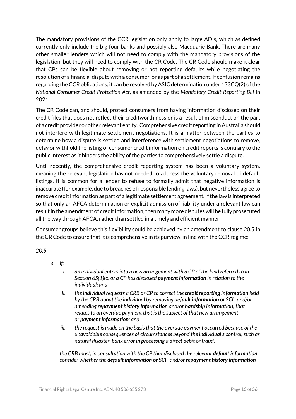The mandatory provisions of the CCR legislation only apply to large ADIs, which as defined currently only include the big four banks and possibly also Macquarie Bank. There are many other smaller lenders which will not need to comply with the mandatory provisions of the legislation, but they will need to comply with the CR Code. The CR Code should make it clear that CPs can be flexible about removing or not reporting defaults while negotiating the resolution of a financial dispute with a consumer, or as part of a settlement. If confusion remains regarding the CCR obligations, it can be resolved by ASIC determination under 133CQ(2) of the *National Consumer Credit Protection Act*, as amended by the *Mandatory Credit Reporting Bill* in 2021.

The CR Code can, and should, protect consumers from having information disclosed on their credit files that does not reflect their creditworthiness or is a result of misconduct on the part of a credit provider or other relevant entity. Comprehensive credit reporting in Australia should not interfere with legitimate settlement negotiations. It is a matter between the parties to determine how a dispute is settled and interference with settlement negotiations to remove, delay or withhold the listing of consumer credit information on credit reports is contrary to the public interest as it hinders the ability of the parties to comprehensively settle a dispute.

Until recently, the comprehensive credit reporting system has been a voluntary system, meaning the relevant legislation has not needed to address the voluntary removal of default listings. It is common for a lender to refuse to formally admit that negative information is inaccurate (for example, due to breaches of responsible lending laws), but nevertheless agree to remove credit information as part of a legitimate settlement agreement. If the law is interpreted so that only an AFCA determination or explicit admission of liability under a relevant law can result in the amendment of credit information, then many more disputes will be fully prosecuted all the way through AFCA, rather than settled in a timely and efficient manner.

Consumer groups believe this flexibility could be achieved by an amendment to clause 20.5 in the CR Code to ensure that it is comprehensive in its purview, in line with the CCR regime:

*20.5*

*a. If:*

- *i. an individual enters into a new arrangement with a CP of the kind referred to in Section 6S(1)(c) or a CP has disclosed payment information in relation to the individual; and*
- *ii. the individual requests a CRB or CP to correct the credit reporting information held by the CRB about the individual by removing default information or SCI, and/or amending repayment history information and/or hardship information, that relates to an overdue payment that is the subject of that new arrangement or payment information; and*
- *iii. the request is made on the basis that the overdue payment occurred because of the unavoidable consequences of circumstances beyond the individual's control, such as natural disaster, bank error in processing a direct debit or fraud,*

*the CRB must, in consultation with the CP that disclosed the relevant default information, consider whether the default information or SCI, and/or repayment history information*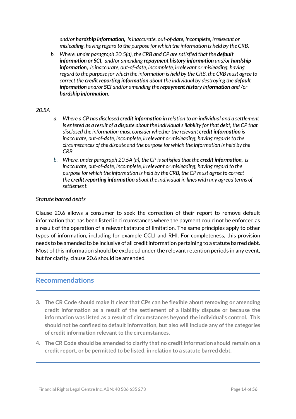*and/or hardship information, is inaccurate, out-of-date, incomplete, irrelevant or misleading, having regard to the purpose for which the information is held by the CRB.*

*b. Where, under paragraph 20.5(a), the CRB and CP are satisfied that the default information or SCI, and/or amending repayment history information and/or hardship information, is inaccurate, out-of-date, incomplete, irrelevant or misleading, having regard to the purpose for which the information is held by the CRB, the CRB must agree to correct the credit reporting information about the individual by destroying the default information and/or SCI and/or amending the repayment history information and /or hardship information.*

#### *20.5A*

- *a. Where a CP has disclosed credit information in relation to an individual and a settlement is entered as a result of a dispute about the individual's liability for that debt, the CP that disclosed the information must consider whether the relevant credit information is inaccurate, out-of-date, incomplete, irrelevant or misleading, having regards to the circumstances of the dispute and the purpose for which the information is held by the CRB.*
- *b. Where, under paragraph 20.5A (a), the CP is satisfied that the credit information, is inaccurate, out-of-date, incomplete, irrelevant or misleading, having regard to the purpose for which the information is held by the CRB, the CP must agree to correct the credit reporting information about the individual in lines with any agreed terms of settlement.*

#### *Statute barred debts*

Clause 20.6 allows a consumer to seek the correction of their report to remove default information that has been listed in circumstances where the payment could not be enforced as a result of the operation of a relevant statute of limitation. The same principles apply to other types of information, including for example CCLI and RHI. For completeness, this provision needs to be amended to be inclusive of all credit information pertaining to a statute barred debt. Most of this information should be excluded under the relevant retention periods in any event, but for clarity, clause 20.6 should be amended.

# **Recommendations**

- **3. The CR Code should make it clear that CPs can be flexible about removing or amending credit information as a result of the settlement of a liability dispute or because the information was listed as a result of circumstances beyond the individual's control. This should not be confined to default information, but also will include any of the categories of creditinformation relevant to the circumstances.**
- **4. The CR Code should be amended to clarify that no credit information should remain on a credit report, or be permitted to be listed, in relation to a statute barred debt.**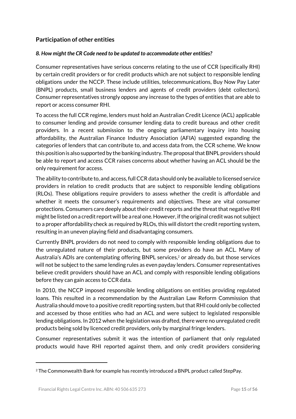# **Participation of other entities**

#### *8. How might the CR Code need to be updated to accommodate other entities?*

Consumer representatives have serious concerns relating to the use of CCR (specifically RHI) by certain credit providers or for credit products which are not subject to responsible lending obligations under the NCCP. These include utilities, telecommunications, Buy Now Pay Later (BNPL) products, small business lenders and agents of credit providers (debt collectors). Consumer representatives strongly oppose any increase to the types of entities that are able to report or access consumer RHI.

To access the full CCR regime, lenders must hold an Australian Credit Licence (ACL) applicable to consumer lending and provide consumer lending data to credit bureaus and other credit providers. In a recent submission to the ongoing parliamentary inquiry into housing affordability, the Australian Finance Industry Association (AFIA) suggested expanding the categories of lenders that can contribute to, and access data from, the CCR scheme. We know this position is also supported by the banking industry. The proposal that BNPL providers should be able to report and access CCR raises concerns about whether having an ACL should be the only requirement for access.

The ability to contribute to, and access, full CCR data should only be available to licensed service providers in relation to credit products that are subject to responsible lending obligations (RLOs). These obligations require providers to assess whether the credit is affordable and whether it meets the consumer's requirements and objectives. These are vital consumer protections. Consumers care deeply about their credit reports and the threat that negative RHI might be listed on a credit report will be a real one. However, if the original credit was not subject to a proper affordability check as required by RLOs, this will distort the credit reporting system, resulting in an uneven playing field and disadvantaging consumers.

Currently BNPL providers do not need to comply with responsible lending obligations due to the unregulated nature of their products, but some providers do have an ACL. Many of Australia's ADIs are contemplating offering BNPL services,<sup>2</sup> or already do, but those services will not be subject to the same lending rules as even payday lenders. Consumer representatives believe credit providers should have an ACL and comply with responsible lending obligations before they can gain access to CCR data.

In 2010, the NCCP imposed responsible lending obligations on entities providing regulated loans. This resulted in a recommendation by the Australian Law Reform Commission that Australia should move to a positive credit reporting system, but that RHI could only be collected and accessed by those entities who had an ACL and were subject to legislated responsible lending obligations. In 2012 when the legislation was drafted, there were no unregulated credit products being sold by licenced credit providers, only by marginal fringe lenders.

Consumer representatives submit it was the intention of parliament that only regulated products would have RHI reported against them, and only credit providers considering

<sup>2</sup> The Commonwealth Bank for example has recently introduced a BNPL product called StepPay.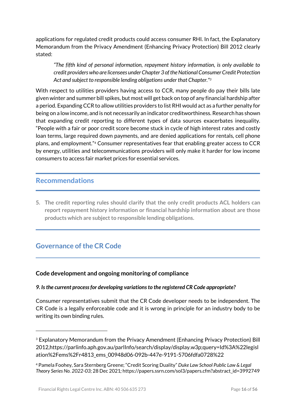applications for regulated credit products could access consumer RHI. In fact, the Explanatory Memorandum from the Privacy Amendment (Enhancing Privacy Protection) Bill 2012 clearly stated:

*"The fifth kind of personal information, repayment history information, is only available to credit providers who are licensees under Chapter 3 of the National Consumer Credit Protection Act and subject to responsible lending obligations under that Chapter."<sup>3</sup>*

With respect to utilities providers having access to CCR, many people do pay their bills late given winter and summer bill spikes, but most will get back on top of any financial hardship after a period. Expanding CCR to allow utilities providers to list RHI would act as a further penalty for being on a low income, and is not necessarily an indicator creditworthiness. Research has shown that expanding credit reporting to different types of data sources exacerbates inequality. "People with a fair or poor credit score become stuck in cycle of high interest rates and costly loan terms, large required down payments, and are denied applications for rentals, cell phone plans, and employment." <sup>4</sup> Consumer representatives fear that enabling greater access to CCR by energy, utilities and telecommunications providers will only make it harder for low income consumers to access fair market prices for essential services.

# **Recommendations**

1

**5. The credit reporting rules should clarify that the only credit products ACL holders can report repayment history information or financial hardship information about are those products which are subject to responsible lending obligations.**

# **Governance of the CR Code**

# **Code development and ongoing monitoring of compliance**

#### *9. Is the current process for developing variations to the registered CR Code appropriate?*

Consumer representatives submit that the CR Code developer needs to be independent. The CR Code is a legally enforceable code and it is wrong in principle for an industry body to be writing its own binding rules.

<sup>&</sup>lt;sup>3</sup> Explanatory Memorandum from the Privacy Amendment (Enhancing Privacy Protection) Bill 2012,https://parlinfo.aph.gov.au/parlInfo/search/display/display.w3p;query=Id%3A%22legisl ation%2Fems%2Fr4813\_ems\_00948d06-092b-447e-9191-5706fdfa0728%22

<sup>4</sup> Pamela Foohey, Sara Sternberg Greene; "Credit Scoring Duality" *Duke Law School Public Law & Legal Theory Series No. 2022-03;* 28 Dec 2021*;* https://papers.ssrn.com/sol3/papers.cfm?abstract\_id=3992749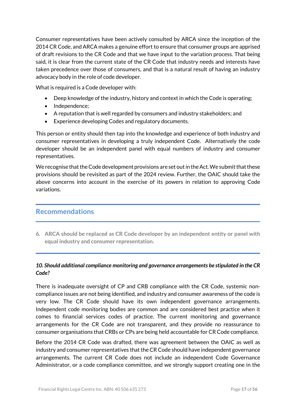Consumer representatives have been actively consulted by ARCA since the inception of the 2014 CR Code, and ARCA makes a genuine effort to ensure that consumer groups are apprised of draft revisions to the CR Code and that we have input to the variation process. That being said, it is clear from the current state of the CR Code that industry needs and interests have taken precedence over those of consumers, and that is a natural result of having an industry advocacy body in the role of code developer.

What is required is a Code developer with:

- Deep knowledge ofthe industry, history and context in which the Code is operating;
- Independence;
- A reputation that is well regarded by consumers and industry stakeholders; and
- Experience developing Codes and regulatory documents.

This person or entity should then tap into the knowledge and experience of both industry and consumer representatives in developing a truly independent Code. Alternatively the code developer should be an independent panel with equal numbers of industry and consumer representatives.

We recognise that the Code development provisions are set out in the Act. We submit that these provisions should be revisited as part of the 2024 review. Further, the OAIC should take the above concerns into account in the exercise of its powers in relation to approving Code variations.

# **Recommendations**

**6. ARCA should be replaced as CR Code developer by an independent entity or panel with equal industry and consumer representation.**

#### *10. Should additional compliance monitoring and governance arrangements be stipulated in the CR Code?*

There is inadequate oversight of CP and CRB compliance with the CR Code, systemic noncompliance issues are not being identified, and industry and consumer awareness of the code is very low. The CR Code should have its own independent governance arrangements. Independent code monitoring bodies are common and are considered best practice when it comes to financial services codes of practice. The current monitoring and governance arrangements for the CR Code are not transparent, and they provide no reassurance to consumer organisations that CRBs or CPs are being held accountable for CR Code compliance.

Before the 2014 CR Code was drafted, there was agreement between the OAIC as well as industry and consumer representatives that the CR Code should have independent governance arrangements. The current CR Code does not include an independent Code Governance Administrator, or a code compliance committee, and we strongly support creating one in the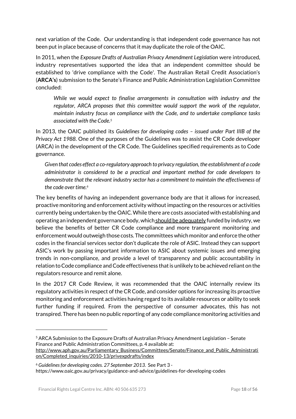next variation of the Code. Our understanding is that independent code governance has not been put in place because of concerns that it may duplicate the role of the OAIC.

In 2011, when the *Exposure Drafts of Australian Privacy Amendment Legislation* were introduced, industry representatives supported the idea that an independent committee should be established to 'drive compliance with the Code'. The Australian Retail Credit Association's (**ARCA's**) submission to the Senate's Finance and Public Administration Legislation Committee concluded:

*While we would expect to finalise arrangements in consultation with industry and the regulator, ARCA proposes that this committee would support the work of the regulator, maintain industry focus on compliance with the Code, and to undertake compliance tasks associated with the Code.<sup>5</sup>*

In 2013, the OAIC published its *Guidelines for developing codes – issued under Part IIIB of the Privacy Act 1988*. One of the purposes of the Guidelines was to assist the CR Code developer (ARCA) in the development of the CR Code. The Guidelines specified requirements as to Code governance.

*Given that codes effect a co-regulatory approach to privacy regulation, the establishment of a code administrator is considered to be a practical and important method for code developers to demonstrate that the relevant industry sector has a commitment to maintain the effectiveness of the code over time. 6*

The key benefits of having an independent governance body are that it allows for increased, proactive monitoring and enforcement activity without impacting on the resources or activities currently being undertaken by the OAIC. While there are costs associated with establishing and operating an independent governance body, which should be adequately funded by industry, we believe the benefits of better CR Code compliance and more transparent monitoring and enforcement would outweigh those costs. The committees which monitor and enforce the other codes in the financial services sector don't duplicate the role of ASIC. Instead they can support ASIC's work by passing important information to ASIC about systemic issues and emerging trends in non-compliance, and provide a level of transparency and public accountability in relation to Code compliance and Code effectiveness that is unlikely to be achieved reliant on the regulators resource and remit alone.

In the 2017 CR Code Review, it was recommended that the OAIC internally review its regulatory activities in respect of the CR Code, and consider options for increasing its proactive monitoring and enforcement activities having regard to its available resources or ability to seek further funding if required. From the perspective of consumer advocates, this has not transpired. There has been no public reporting of any code compliance monitoring activities and

<sup>5</sup> ARCA Submission to the Exposure Drafts of Australian Privacy Amendment Legislation – Senate Finance and Public Administration Committees, p. 4 available at:

[http://www.aph.gov.au/Parliamentary\\_Business/Committees/Senate/Finance\\_and\\_Public\\_Administrati](http://www.aph.gov.au/Parliamentary_Business/Committees/Senate/Finance_and_Public_Administration/Completed_inquiries/2010-13/privexpdrafts/index) [on/Completed\\_inquiries/2010-13/privexpdrafts/index](http://www.aph.gov.au/Parliamentary_Business/Committees/Senate/Finance_and_Public_Administration/Completed_inquiries/2010-13/privexpdrafts/index)

<sup>6</sup> *Guidelines for developing codes. 27 September 2013.* See Part 3 https://www.oaic.gov.au/privacy/guidance-and-advice/guidelines-for-developing-codes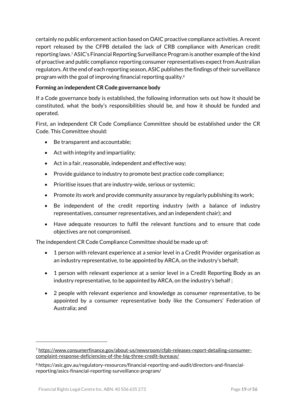certainly no public enforcement action based on OAIC proactive compliance activities. A recent report released by the CFPB detailed the lack of CRB compliance with American credit reporting laws.7ASIC's Financial Reporting Surveillance Program is another example of the kind of proactive and public compliance reporting consumer representatives expect from Australian regulators. At the end of each reporting season, ASIC publishes the findings of their surveillance program with the goal of improving financial reporting quality.<sup>8</sup>

#### **Forming an independent CR Code governance body**

If a Code governance body is established, the following information sets out how it should be constituted, what the body's responsibilities should be, and how it should be funded and operated.

First, an independent CR Code Compliance Committee should be established under the CR Code. This Committee should:

- Be transparent and accountable;
- Act with integrity and impartiality;
- Act in a fair, reasonable, independent and effective way;
- Provide guidance to industry to promote best practice code compliance;
- Prioritise issues that are industry-wide, serious or systemic;
- Promote its work and provide community assurance by regularly publishing its work;
- Be independent of the credit reporting industry (with a balance of industry representatives, consumer representatives, and an independent chair); and
- Have adequate resources to fulfil the relevant functions and to ensure that code objectives are not compromised.

The independent CR Code Compliance Committee should be made up of:

- 1 person with relevant experience at a senior level in a Credit Provider organisation as an industry representative, to be appointed by ARCA, on the industry's behalf;
- 1 person with relevant experience at a senior level in a Credit Reporting Body as an industry representative, to be appointed by ARCA, on the industry's behalf ;
- 2 people with relevant experience and knowledge as consumer representative, to be appointed by a consumer representative body like the Consumers' Federation of Australia; and

<sup>7</sup> [https://www.consumerfinance.gov/about-us/newsroom/cfpb-releases-report-detailing-consumer](https://www.consumerfinance.gov/about-us/newsroom/cfpb-releases-report-detailing-consumer-complaint-response-deficiencies-of-the-big-three-credit-bureaus/)[complaint-response-deficiencies-of-the-big-three-credit-bureaus/](https://www.consumerfinance.gov/about-us/newsroom/cfpb-releases-report-detailing-consumer-complaint-response-deficiencies-of-the-big-three-credit-bureaus/)

<sup>8</sup> https://asic.gov.au/regulatory-resources/financial-reporting-and-audit/directors-and-financialreporting/asics-financial-reporting-surveillance-program/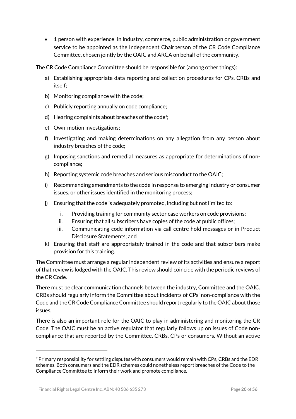1 person with experience in industry, commerce, public administration or government service to be appointed as the Independent Chairperson of the CR Code Compliance Committee, chosen jointly by the OAIC and ARCA on behalf of the community.

The CR Code Compliance Committee should be responsible for (among other things):

- a) Establishing appropriate data reporting and collection procedures for CPs, CRBs and itself;
- b) Monitoring compliance with the code;
- c) Publicly reporting annually on code compliance;
- d) Hearing complaints about breaches of the code<sup>9</sup>;
- e) Own-motion investigations;
- f) Investigating and making determinations on any allegation from any person about industry breaches of the code;
- g) Imposing sanctions and remedial measures as appropriate for determinations of noncompliance;
- h) Reporting systemic code breaches and serious misconduct to the OAIC;
- i) Recommending amendments to the code in response to emerging industry or consumer issues, or other issues identified in the monitoring process;
- j) Ensuring that the code is adequately promoted, including but not limited to:
	- i. Providing training for community sector case workers on code provisions;
	- ii. Ensuring that all subscribers have copies of the code at public offices;
	- iii. Communicating code information via call centre hold messages or in Product Disclosure Statements; and
- k) Ensuring that staff are appropriately trained in the code and that subscribers make provision for this training.

The Committee must arrange a regular independent review of its activities and ensure a report of that review is lodged with the OAIC. This review should coincide with the periodic reviews of the CR Code.

There must be clear communication channels between the industry, Committee and the OAIC. CRBs should regularly inform the Committee about incidents of CPs' non-compliance with the Code and the CR Code Compliance Committee should report regularly to the OAIC about those issues.

There is also an important role for the OAIC to play in administering and monitoring the CR Code. The OAIC must be an active regulator that regularly follows up on issues of Code noncompliance that are reported by the Committee, CRBs, CPs or consumers. Without an active

<sup>9</sup> Primary responsibility for settling disputes with consumers would remain with CPs, CRBs and the EDR schemes. Both consumers and the EDR schemes could nonetheless report breaches of the Code to the Compliance Committee to inform their work and promote compliance.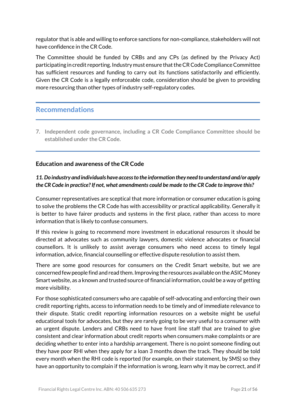regulator that is able and willing to enforce sanctions for non-compliance, stakeholders will not have confidence in the CR Code.

The Committee should be funded by CRBs and any CPs (as defined by the Privacy Act) participating in credit reporting. Industry must ensure that the CR Code Compliance Committee has sufficient resources and funding to carry out its functions satisfactorily and efficiently. Given the CR Code is a legally enforceable code, consideration should be given to providing more resourcing than other types of industry self-regulatory codes.

# **Recommendations**

**7. Independent code governance, including a CR Code Compliance Committee should be established under the CR Code.**

## **Education and awareness of the CR Code**

# *11. Do industry and individuals have access to the information they need to understand and/or apply the CR Code in practice? If not, what amendments could be made to the CR Code to improve this?*

Consumer representatives are sceptical that more information or consumer education is going to solve the problems the CR Code has with accessibility or practical applicability. Generally it is better to have fairer products and systems in the first place, rather than access to more information that is likely to confuse consumers.

If this review is going to recommend more investment in educational resources it should be directed at advocates such as community lawyers, domestic violence advocates or financial counsellors. It is unlikely to assist average consumers who need access to timely legal information, advice, financial counselling or effective dispute resolution to assist them.

There are some good resources for consumers on the Credit Smart website, but we are concerned few people find and read them. Improving the resources available on the ASIC Money Smart website, as a known and trusted source of financial information, could be a way of getting more visibility.

For those sophisticated consumers who are capable of self-advocating and enforcing their own credit reporting rights, access to information needs to be timely and of immediate relevance to their dispute. Static credit reporting information resources on a website might be useful educational tools for advocates, but they are rarely going to be very useful to a consumer with an urgent dispute. Lenders and CRBs need to have front line staff that are trained to give consistent and clear information about credit reports when consumers make complaints or are deciding whether to enter into a hardship arrangement. There is no point someone finding out they have poor RHI when they apply for a loan 3 months down the track. They should be told every month when the RHI code is reported (for example, on their statement, by SMS) so they have an opportunity to complain if the information is wrong, learn why it may be correct, and if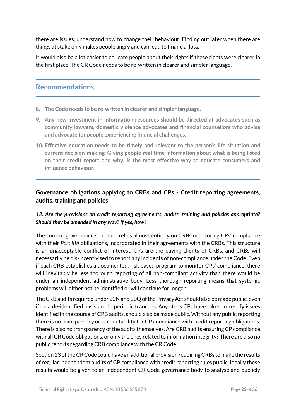there are issues, understand how to change their behaviour. Finding out later when there are things at stake only makes people angry and can lead to financial loss.

It would also be a lot easier to educate people about their rights if those rights were clearer in the first place. The CR Code needs to be re-written in clearer and simpler language.

# **Recommendations**

- **8. The Code needs to be re-written in clearer and simpler language.**
- **9. Any new investment in information resources should be directed at advocates such as community lawyers, domestic violence advocates and financial counsellors who advise and advocate for people experiencing financial challenges.**
- **10. Effective education needs to be timely and relevant to the person's life situation and current decision-making. Giving people real time information about what is being listed on their credit report and why, is the most effective way to educate consumers and influence behaviour.**

# **Governance obligations applying to CRBs and CPs - Credit reporting agreements, audits, training and policies**

## *12. Are the provisions on credit reporting agreements, audits, training and policies appropriate? Should they be amended in any way? If yes, how?*

The current governance structure relies almost entirely on CRBs monitoring CPs' compliance with their *Part IIIA* obligations, incorporated in their agreements with the CRBs. This structure is an unacceptable conflict of interest. CPs are the paying clients of CRBs, and CRBs will necessarily be dis-incentivised to report any incidents of non-compliance under the Code. Even if each CRB establishes a documented, risk based program to monitor CPs' compliance, there will inevitably be less thorough reporting of all non-compliant activity than there would be under an independent administrative body. Less thorough reporting means that systemic problems will either not be identified or will continue for longer.

The CRB audits required under 20N and 20Q of the Privacy Act should also be made public, even if on a de-identified basis and in periodic tranches. Any steps CPs have taken to rectify issues identified in the course of CRB audits, should also be made public. Without any public reporting there is no transparency or accountability for CP compliance with credit reporting obligations. There is also no transparency of the audits themselves. Are CRB audits ensuring CP compliance with all CR Code obligations, or only the ones related to information integrity? There are also no public reports regarding CRB compliance with the CR Code.

Section 23 of the CR Code could have an additional provision requiring CRBs to make the results of regular independent audits of CP compliance with credit reporting rules public. Ideally these results would be given to an independent CR Code governance body to analyse and publicly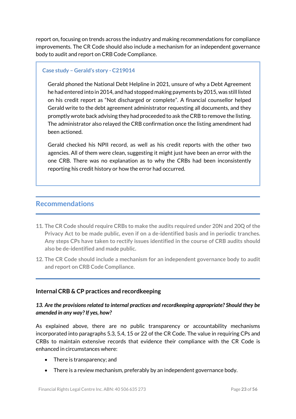report on, focusing on trends across the industry and making recommendations for compliance improvements. The CR Code should also include a mechanism for an independent governance body to audit and report on CRB Code Compliance.

#### **Case study – Gerald's story - C219014**

Gerald phoned the National Debt Helpline in 2021, unsure of why a Debt Agreement he had entered into in 2014, and had stopped making payments by 2015, was still listed on his credit report as "Not discharged or complete". A financial counsellor helped Gerald write to the debt agreement administrator requesting all documents, and they promptly wrote back advising they had proceeded to ask the CRB to remove the listing. The administrator also relayed the CRB confirmation once the listing amendment had been actioned.

Gerald checked his NPII record, as well as his credit reports with the other two agencies. All of them were clean, suggesting it might just have been an error with the one CRB. There was no explanation as to why the CRBs had been inconsistently reporting his credit history or how the error had occurred.

# **Recommendations**

- **11. The CR Code should require CRBs to make the audits required under 20N and 20Q ofthe Privacy Act to be made public, even if on a de-identified basis and in periodic tranches. Any steps CPs have taken to rectify issues identified in the course of CRB audits should also be de-identified and made public.**
- **12. The CR Code should include a mechanism for an independent governance body to audit and report on CRB Code Compliance.**

#### **Internal CRB & CP practices and recordkeeping**

#### *13. Are the provisions related to internal practices and recordkeeping appropriate? Should they be amended in any way? If yes, how?*

As explained above, there are no public transparency or accountability mechanisms incorporated into paragraphs 5.3, 5.4, 15 or 22 of the CR Code. The value in requiring CPs and CRBs to maintain extensive records that evidence their compliance with the CR Code is enhanced in circumstances where:

- There is transparency; and
- There is a review mechanism, preferably by an independent governance body.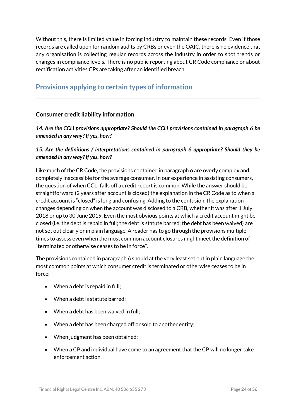Without this, there is limited value in forcing industry to maintain these records. Even if those records are called upon for random audits by CRBs or even the OAIC, there is no evidence that any organisation is collecting regular records across the industry in order to spot trends or changes in compliance levels. There is no public reporting about CR Code compliance or about rectification activities CPs are taking after an identified breach.

# **Provisions applying to certain types of information**

#### **Consumer credit liability information**

*14. Are the CCLI provisions appropriate? Should the CCLI provisions contained in paragraph 6 be amended in any way? If yes, how?* 

#### *15. Are the definitions / interpretations contained in paragraph 6 appropriate? Should they be amended in any way? If yes, how?*

Like much of the CR Code, the provisions contained in paragraph 6 are overly complex and completely inaccessible for the average consumer. In our experience in assisting consumers, the question of when CCLI falls off a credit report is common. While the answer should be straightforward (2 years after account is closed) the explanation in the CR Code as to when a credit account is "closed" is long and confusing. Adding to the confusion, the explanation changes depending on when the account was disclosed to a CRB, whether it was after 1 July 2018 or up to 30 June 2019. Even the most obvious points at which a credit account might be closed (i.e. the debt is repaid in full; the debt is statute barred; the debt has been waived) are not set out clearly or in plain language. A reader has to go through the provisions multiple times to assess even when the most common account closures might meet the definition of "terminated or otherwise ceases to be in force".

The provisions contained in paragraph 6 should at the very least set out in plain language the most common points at which consumer credit is terminated or otherwise ceases to be in force:

- When a debt is repaid in full;
- When a debt is statute barred;
- When a debt has been waived in full;
- When a debt has been charged off or sold to another entity;
- When judgment has been obtained;
- When a CP and individual have come to an agreement that the CP will no longer take enforcement action.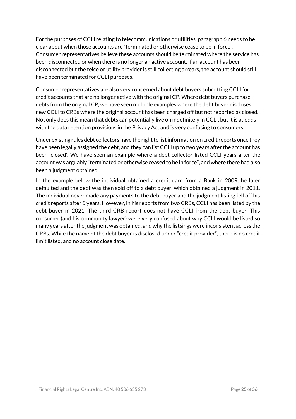For the purposes of CCLI relating to telecommunications or utilities, paragraph 6 needs to be clear about when those accounts are "terminated or otherwise cease to be in force". Consumer representatives believe these accounts should be terminated where the service has been disconnected or when there is no longer an active account. If an account has been disconnected but the telco or utility provider is still collecting arrears, the account should still have been terminated for CCLI purposes.

Consumer representatives are also very concerned about debt buyers submitting CCLI for credit accounts that are no longer active with the original CP. Where debt buyers purchase debts from the original CP, we have seen multiple examples where the debt buyer discloses new CCLI to CRBs where the original account has been charged off but not reported as closed. Not only does this mean that debts can potentially live on indefinitely in CCLI, but it is at odds with the data retention provisions in the Privacy Act and is very confusing to consumers.

Under existing rules debt collectors have the right to list information on credit reports once they have been legally assigned the debt, and they can list CCLI up to two years after the account has been 'closed'. We have seen an example where a debt collector listed CCLI years after the account was arguably "terminated or otherwise ceased to be in force", and where there had also been a judgment obtained.

In the example below the individual obtained a credit card from a Bank in 2009, he later defaulted and the debt was then sold off to a debt buyer, which obtained a judgment in 2011. The individual never made any payments to the debt buyer and the judgment listing fell off his credit reports after 5 years. However, in his reports from two CRBs, CCLI has been listed by the debt buyer in 2021. The third CRB report does not have CCLI from the debt buyer. This consumer (and his community lawyer) were very confused about why CCLI would be listed so many years after the judgment was obtained, and why the listsings were inconsistent across the CRBs. While the name of the debt buyer is disclosed under "credit provider", there is no credit limit listed, and no account close date.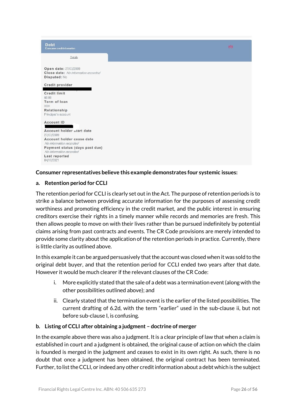

#### **Consumer representatives believe this example demonstrates four systemic issues:**

#### **a. Retention period for CCLI**

The retention period for CCLI is clearly set out in the Act. The purpose of retention periods is to strike a balance between providing accurate information for the purposes of assessing credit worthiness and promoting efficiency in the credit market, and the public interest in ensuring creditors exercise their rights in a timely manner while records and memories are fresh. This then allows people to move on with their lives rather than be pursued indefinitely by potential claims arising from past contracts and events. The CR Code provisions are merely intended to provide some clarity about the application of the retention periods in practice. Currently, there is little clarity as outlined above.

In this example it can be argued persuasively that the account was closed when it was sold to the original debt buyer, and that the retention period for CCLI ended two years after that date. However it would be much clearer if the relevant clauses of the CR Code:

- i. More explicitly stated that the sale of a debt was a termination event (along with the other possibilities outlined above); and
- ii. Clearly stated that the termination event is the earlier of the listed possibilities. The current drafting of 6.2d, with the term "earlier" used in the sub-clause ii, but not before sub-clause I, is confusing.

#### **b. Listing of CCLI after obtaining a judgment – doctrine of merger**

In the example above there was also a judgment. It is a clear principle of law that when a claim is established in court and a judgment is obtained, the original cause of action on which the claim is founded is merged in the judgment and ceases to exist in its own right. As such, there is no doubt that once a judgment has been obtained, the original contract has been terminated. Further, to list the CCLI, or indeed any other credit information about a debt which is the subject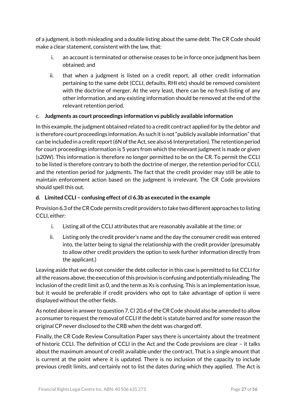of a judgment, is both misleading and a double listing about the same debt. The CR Code should make a clear statement, consistent with the law, that:

- i. an account is terminated or otherwise ceases to be in force once judgment has been obtained; and
- ii. that when a judgment is listed on a credit report, all other credit information pertaining to the same debt (CCLI, defaults, RHI etc) should be removed consistent with the doctrine of merger. At the very least, there can be no fresh listing of any other information, and any existing information should be removed at the end of the relevant retention period.

## c. **Judgments as court proceedings information vs publicly available information**

In this example, the judgment obtained related to a credit contract applied for by the debtor and is therefore court proceedings information. As such it is not "publicly available information" that can be included in a credit report (6N of the Act, see also s6 Interpretation). The retention period for court proceedings information is 5 years from which the relevant judgment is made or given (s20W). This information is therefore no longer permitted to be on the CR. To permit the CCLI to be listed is therefore contrary to both the doctrine of merger, the retention period for CCLI, and the retention period for judgments. The fact that the credit provider may still be able to maintain enforcement action based on the judgment is irrelevant. The CR Code provisions should spell this out.

#### **d. Limited CCLI – confusing effect of cl 6.3b as executed in the example**

Provision 6.3 of the CR Code permits credit providers to take two different approaches to listing CCLI, either:

- i. Listing all ofthe CCLI attributes that are reasonably available at the time; or
- ii. Listing only the credit provider's name and the day the consumer credit was entered into, the latter being to signal the relationship with the credit provider (presumably to allow other credit providers the option to seek further information directly from the applicant.)

Leaving aside that we do not consider the debt collector in this case is permitted to list CCLI for all the reasons above, the execution of this provision is confusing and potentially misleading. The inclusion of the credit limit as 0, and the term as Xs is confusing. This is an implementation issue, but it would be preferable if credit providers who opt to take advantage of option ii were displayed without the other fields.

As noted above in answer to question 7, Cl 20.6 of the CR Code should also be amended to allow a consumer to request the removal of CCLI if the debt is statute barred and for some reason the original CP never disclosed to the CRB when the debt was charged off.

Finally, the CR Code Review Consultation Paper says there is uncertainty about the treatment of historic CCLI. The definition of CCLI in the Act and the Code provisions are clear – it talks about the maximum amount of credit available under the contract. That is a single amount that is current at the point where it is updated. There is no inclusion of the capacity to include previous credit limits, and certainly not to list the dates during which they applied. The Act is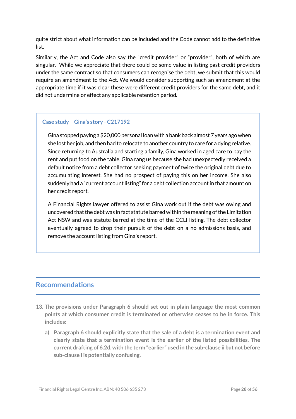quite strict about what information can be included and the Code cannot add to the definitive list.

Similarly, the Act and Code also say the "credit provider" or "provider", both of which are singular. While we appreciate that there could be some value in listing past credit providers under the same contract so that consumers can recognise the debt, we submit that this would require an amendment to the Act. We would consider supporting such an amendment at the appropriate time if it was clear these were different credit providers for the same debt, and it did not undermine or effect any applicable retention period.

#### **Case study – Gina's story - C217192**

Gina stopped paying a \$20,000 personal loan with a bank back almost 7 years ago when she lost her job, and then had to relocate to another country to care for a dying relative. Since returning to Australia and starting a family, Gina worked in aged care to pay the rent and put food on the table. Gina rang us because she had unexpectedly received a default notice from a debt collector seeking payment of twice the original debt due to accumulating interest. She had no prospect of paying this on her income. She also suddenly had a "current account listing" for a debt collection account in that amount on her credit report.

A Financial Rights lawyer offered to assist Gina work out if the debt was owing and uncovered that the debt was in fact statute barred within the meaning of the Limitation Act NSW and was statute-barred at the time of the CCLI listing. The debt collector eventually agreed to drop their pursuit of the debt on a no admissions basis, and remove the account listing from Gina's report.

# **Recommendations**

- **13. The provisions under Paragraph 6 should set out in plain language the most common points at which consumer credit is terminated or otherwise ceases to be in force. This includes:**
	- **a) Paragraph 6 should explicitly state that the sale of a debt is a termination event and clearly state that a termination event is the earlier of the listed possibilities. The current drafting of 6.2d.with the term "earlier" used in the sub-clause ii but not before sub-clause i is potentially confusing.**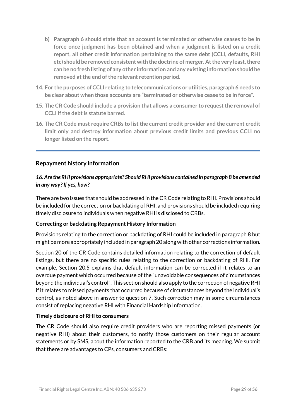- **b) Paragraph 6 should state that an account is terminated or otherwise ceases to be in force once judgment has been obtained and when a judgment is listed on a credit report, all other credit information pertaining to the same debt (CCLI, defaults, RHI etc) should be removed consistent with the doctrine of merger. Atthe very least,there can be no fresh listing of any other information and any existing information should be removed atthe end ofthe relevant retention period.**
- **14. For the purposes of CCLI relating to telecommunications or utilities, paragraph 6 needs to be clear about when those accounts are "terminated or otherwise cease to be in force".**
- **15. The CR Code should include a provision that allows a consumer to request the removal of CCLI ifthe debtis statute barred.**
- **16. The CR Code must require CRBs to list the current credit provider and the current credit limit only and destroy information about previous credit limits and previous CCLI no longer listed on the report.**

## **Repayment history information**

#### *16. Are the RHI provisions appropriate? Should RHI provisions contained in paragraph 8 be amended in any way? If yes, how?*

There are two issues that should be addressed in the CR Code relating to RHI. Provisions should be included for the correction or backdating of RHI, and provisions should be included requiring timely disclosure to individuals when negative RHI is disclosed to CRBs.

#### **Correcting or backdating Repayment History Information**

Provisions relating to the correction or backdating of RHI could be included in paragraph 8 but might be more appropriately included in paragraph 20 along with other corrections information.

Section 20 of the CR Code contains detailed information relating to the correction of default listings, but there are no specific rules relating to the correction or backdating of RHI. For example, Section 20.5 explains that default information can be corrected if it relates to an overdue payment which occurred because of the "unavoidable consequences of circumstances beyond the individual's control". This section should also apply to the correction of negative RHI if it relates to missed payments that occurred because of circumstances beyond the individual's control, as noted above in answer to question 7. Such correction may in some circumstances consist of replacing negative RHI with Financial Hardship Information.

#### **Timely disclosure of RHI to consumers**

The CR Code should also require credit providers who are reporting missed payments (or negative RHI) about their customers, to notify those customers on their regular account statements or by SMS, about the information reported to the CRB and its meaning. We submit that there are advantages to CPs, consumers and CRBs: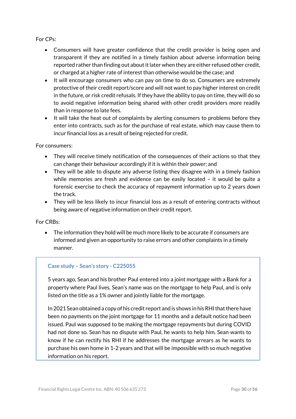#### For CPs:

- Consumers will have greater confidence that the credit provider is being open and transparent if they are notified in a timely fashion about adverse information being reported rather than finding out about it later when they are either refused other credit, or charged at a higher rate of interest than otherwise would be the case; and
- It will encourage consumers who can pay on time to do so. Consumers are extremely protective of their credit report/score and will not want to pay higher interest on credit in the future, or risk credit refusals. If they have the ability to pay on time, they will do so to avoid negative information being shared with other credit providers more readily than in response to late fees.
- It will take the heat out of complaints by alerting consumers to problems before they enter into contracts, such as for the purchase of real estate, which may cause them to incur financial loss as a result of being rejected for credit.

#### For consumers:

- They will receive timely notification of the consequences of their actions so that they can change their behaviour accordingly if it is within their power; and
- They will be able to dispute any adverse listing they disagree with in a timely fashion while memories are fresh and evidence can be easily located – it would be quite a forensic exercise to check the accuracy of repayment information up to 2 years down the track.
- They will be less likely to incur financial loss as a result of entering contracts without being aware of negative information on their credit report.

For CRBs:

 The information they hold will be much more likely to be accurate if consumers are informed and given an opportunity to raise errors and other complaints in a timely manner.

#### **Case study – Sean's story - C225055**

5 years ago, Sean and his brother Paul entered into a joint mortgage with a Bank for a property where Paul lives. Sean's name was on the mortgage to help Paul, and is only listed on the title as a 1% owner and jointly liable for the mortgage.

In 2021 Sean obtained a copy of his credit report and is shows in his RHI that there have been no payments on the joint mortgage for 11 months and a default notice had been issued. Paul was supposed to be making the mortgage repayments but during COVID had not done so. Sean has no dispute with Paul, he wants to help him. Sean wants to know if he can rectify his RHI if he addresses the mortgage arrears as he wants to purchase his own home in 1-2 years and that will be impossible with so much negative information on his report.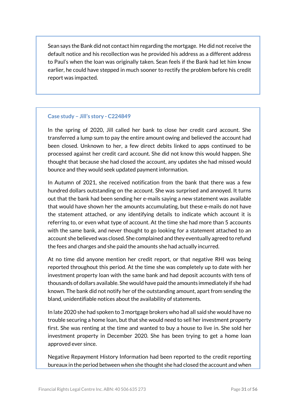Sean says the Bank did not contact him regarding the mortgage. He did not receive the default notice and his recollection was he provided his address as a different address to Paul's when the loan was originally taken. Sean feels if the Bank had let him know earlier, he could have stepped in much sooner to rectify the problem before his credit report was impacted.

#### **Case study – Jill's story - C224849**

In the spring of 2020, Jill called her bank to close her credit card account. She transferred a lump sum to pay the entire amount owing and believed the account had been closed. Unknown to her, a few direct debits linked to apps continued to be processed against her credit card account. She did not know this would happen. She thought that because she had closed the account, any updates she had missed would bounce and they would seek updated payment information.

In Autumn of 2021, she received notification from the bank that there was a few hundred dollars outstanding on the account. She was surprised and annoyed. It turns out that the bank had been sending her e-mails saying a new statement was available that would have shown her the amounts accumulating, but these e-mails do not have the statement attached, or any identifying details to indicate which account it is referring to, or even what type of account. At the time she had more than 5 accounts with the same bank, and never thought to go looking for a statement attached to an account she believed was closed. She complained and they eventually agreed to refund the fees and charges and she paid the amounts she had actually incurred.

At no time did anyone mention her credit report, or that negative RHI was being reported throughout this period. At the time she was completely up to date with her investment property loan with the same bank and had deposit accounts with tens of thousands of dollars available. She would have paid the amounts immediately if she had known. The bank did not notify her of the outstanding amount, apart from sending the bland, unidentifiable notices about the availability of statements.

In late 2020 she had spoken to 3 mortgage brokers who had all said she would have no trouble securing a home loan, but that she would need to sell her investment property first. She was renting at the time and wanted to buy a house to live in. She sold her investment property in December 2020. She has been trying to get a home loan approved ever since.

Negative Repayment History Information had been reported to the credit reporting bureaux in the period between when she thought she had closed the account and when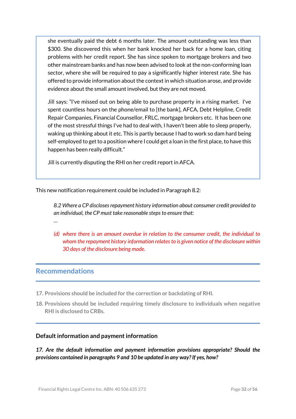she eventually paid the debt 6 months later. The amount outstanding was less than \$300. She discovered this when her bank knocked her back for a home loan, citing problems with her credit report. She has since spoken to mortgage brokers and two other mainstream banks and has now been advised to look at the non-conforming loan sector, where she will be required to pay a significantly higher interest rate. She has offered to provide information about the context in which situation arose, and provide evidence about the small amount involved, but they are not moved.

Jill says: "I've missed out on being able to purchase property in a rising market. I've spent countless hours on the phone/email to [the bank], AFCA, Debt Helpline, Credit Repair Companies, Financial Counsellor, FRLC, mortgage brokers etc. It has been one of the most stressful things I've had to deal with, I haven't been able to sleep properly, waking up thinking about it etc. This is partly because I had to work so dam hard being self-employed to get to a position where I could get a loan in the first place, to have this happen has been really difficult."

Jill is currently disputing the RHI on her credit report in AFCA.

This new notification requirement could be included in Paragraph 8.2:

*8.2 Where a CP discloses repayment history information about consumer credit provided to an individual, the CP must take reasonable steps to ensure that:* 

*(d) where there is an amount overdue in relation to the consumer credit, the individual to whom the repayment history information relatesto is given notice of the disclosure within 30 days of the disclosure being made.*

# **Recommendations**

*…*

- **17. Provisions should be included for the correction or backdating of RHI.**
- **18. Provisions should be included requiring timely disclosure to individuals when negative RHI is disclosed to CRBs.**

#### **Default information and payment information**

*17. Are the default information and payment information provisions appropriate? Should the provisions contained in paragraphs 9 and 10 be updated in any way? If yes, how?*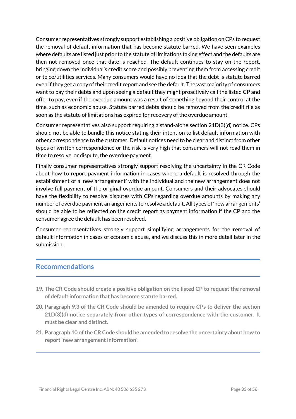Consumer representatives strongly support establishing a positive obligation on CPs to request the removal of default information that has become statute barred. We have seen examples where defaults are listed just prior to the statute of limitations taking effect and the defaults are then not removed once that date is reached. The default continues to stay on the report, bringing down the individual's credit score and possibly preventing them from accessing credit or telco/utilities services. Many consumers would have no idea that the debt is statute barred even if they get a copy of their credit report and see the default. The vast majority of consumers want to pay their debts and upon seeing a default they might proactively call the listed CP and offer to pay, even if the overdue amount was a result of something beyond their control at the time, such as economic abuse. Statute barred debts should be removed from the credit file as soon as the statute of limitations has expired for recovery of the overdue amount.

Consumer representatives also support requiring a stand-alone section 21D(3)(d) notice. CPs should not be able to bundle this notice stating their intention to list default information with other correspondence to the customer. Default notices need to be clear and distinct from other types of written correspondence or the risk is very high that consumers will not read them in time to resolve, or dispute, the overdue payment.

Finally consumer representatives strongly support resolving the uncertainty in the CR Code about how to report payment information in cases where a default is resolved through the establishment of a 'new arrangement' with the individual and the new arrangement does not involve full payment of the original overdue amount. Consumers and their advocates should have the flexibility to resolve disputes with CPs regarding overdue amounts by making any number of overdue payment arrangements to resolve a default. All types of 'new arrangements' should be able to be reflected on the credit report as payment information if the CP and the consumer agree the default has been resolved.

Consumer representatives strongly support simplifying arrangements for the removal of default information in cases of economic abuse, and we discuss this in more detail later in the submission.

# **Recommendations**

- **19. The CR Code should create a positive obligation on the listed CP to request the removal of default information that has become statute barred.**
- **20. Paragraph 9.3 of the CR Code should be amended to require CPs to deliver the section 21D(3)(d) notice separately from other types of correspondence with the customer. It must be clear and distinct.**
- **21. Paragraph 10 ofthe CR Code should be amended to resolve the uncertainty about how to report 'new arrangement information'.**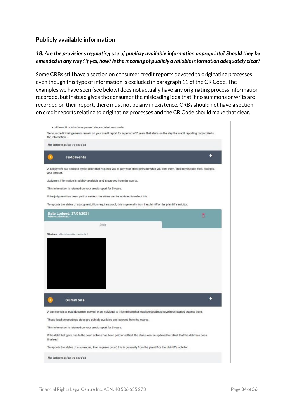#### **Publicly available information**

#### *18. Are the provisions regulating use of publicly available information appropriate? Should they be amended in any way? If yes, how? Is the meaning of publicly available information adequately clear?*

Some CRBs still have a section on consumer credit reports devoted to originating processes even though this type of information is excluded in paragraph 11 of the CR Code. The examples we have seen (see below) does not actually have any originating process information recorded, but instead gives the consumer the misleading idea that if no summons or writs are recorded on their report, there must not be any in existence. CRBs should not have a section on credit reports relating to originating processes and the CR Code should make that clear.

| Serious credit infringements remain on your credit report for a period of 7 years that starts on the day the credit reporting body collects<br>the information.                                                                                                                                                                                                                                                                                                                                                                                                                                       |   |
|-------------------------------------------------------------------------------------------------------------------------------------------------------------------------------------------------------------------------------------------------------------------------------------------------------------------------------------------------------------------------------------------------------------------------------------------------------------------------------------------------------------------------------------------------------------------------------------------------------|---|
| No information recorded                                                                                                                                                                                                                                                                                                                                                                                                                                                                                                                                                                               |   |
| Judgments                                                                                                                                                                                                                                                                                                                                                                                                                                                                                                                                                                                             | ٠ |
| A judgement is a decision by the court that requires you to pay your credit provider what you owe them. This may include fees, charges,<br>and interest.                                                                                                                                                                                                                                                                                                                                                                                                                                              |   |
| Judgment information is publicly available and is sourced from the courts.                                                                                                                                                                                                                                                                                                                                                                                                                                                                                                                            |   |
| This information is retained on your credit report for 5 years.                                                                                                                                                                                                                                                                                                                                                                                                                                                                                                                                       |   |
| If the judgment has been paid or settled, the status can be updated to reflect this.                                                                                                                                                                                                                                                                                                                                                                                                                                                                                                                  |   |
| To update the status of a judgment, illion requires proof, this is generally from the plaintiff or the plaintiff's solicitor.                                                                                                                                                                                                                                                                                                                                                                                                                                                                         |   |
| Date Lodged: 27/01/2021<br>Public record information                                                                                                                                                                                                                                                                                                                                                                                                                                                                                                                                                  |   |
| Details                                                                                                                                                                                                                                                                                                                                                                                                                                                                                                                                                                                               |   |
|                                                                                                                                                                                                                                                                                                                                                                                                                                                                                                                                                                                                       |   |
|                                                                                                                                                                                                                                                                                                                                                                                                                                                                                                                                                                                                       |   |
| <b>Summons</b>                                                                                                                                                                                                                                                                                                                                                                                                                                                                                                                                                                                        | ۰ |
|                                                                                                                                                                                                                                                                                                                                                                                                                                                                                                                                                                                                       |   |
|                                                                                                                                                                                                                                                                                                                                                                                                                                                                                                                                                                                                       |   |
|                                                                                                                                                                                                                                                                                                                                                                                                                                                                                                                                                                                                       |   |
|                                                                                                                                                                                                                                                                                                                                                                                                                                                                                                                                                                                                       |   |
|                                                                                                                                                                                                                                                                                                                                                                                                                                                                                                                                                                                                       |   |
| A summons is a legal document served to an individual to inform them that legal proceedings have been started against them.<br>These legal proceedings steps are publicly available and sourced from the courts.<br>This information is retained on your credit report for 5 years.<br>If the debt that gave rise to the court actions has been paid or settled, the status can be updated to reflect that the debt has been<br>finalised.<br>To update the status of a summons, illion requires proof, this is generally from the plaintiff or the plaintiff's solicitor.<br>No information recorded |   |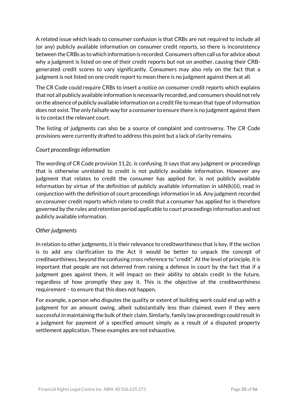A related issue which leads to consumer confusion is that CRBs are not required to include all (or any) publicly available information on consumer credit reports, so there is inconsistency between the CRBs as to which information is recorded. Consumers often call us for advice about why a judgment is listed on one of their credit reports but not on another, causing their CRBgenerated credit scores to vary significantly. Consumers may also rely on the fact that a judgment is not listed on one credit report to mean there is no judgment against them at all.

The CR Code could require CRBs to insert a notice on consumer credit reports which explains that not all publicly available information is necessarily recorded, and consumers should not rely on the absence of publicly available information on a credit file to mean that type of information does not exist. The only failsafe way for a consumer to ensure there is no judgment against them is to contact the relevant court.

The listing of judgments can also be a source of complaint and controversy. The CR Code provisions were currently drafted to address this point but a lack of clarity remains.

## *Court proceedings information*

The wording of CR Code provision 11.2c. is confusing. It says that any judgment or proceedings that is otherwise unrelated to credit is not publicly available information. However any judgment that relates to credit the consumer has applied for, is not publicly available information by virtue of the definition of publicly available information in s6N(k)(ii), read in conjunction with the definition of court proceedings information in s6. Any judgment recorded on consumer credit reports which relate to credit that a consumer has applied for is therefore governed by the rules and retention period applicable to court proceedings information and not publicly available information.

#### *Other judgments*

In relation to other judgments, it is their relevance to creditworthiness that is key. If the section is to add any clarification to the Act it would be better to unpack the concept of creditworthiness, beyond the confusing cross reference to "credit". At the level of principle, it is important that people are not deterred from raising a defence in court by the fact that if a judgment goes against them, it will impact on their ability to obtain credit in the future, regardless of how promptly they pay it. This is the objective of the creditworthiness requirement – to ensure that this does not happen.

For example, a person who disputes the quality or extent of building work could end up with a judgment for an amount owing, albeit substantially less than claimed, even if they were successful in maintaining the bulk of their claim. Similarly, family law proceedings could result in a judgment for payment of a specified amount simply as a result of a disputed property settlement application. These examples are not exhaustive.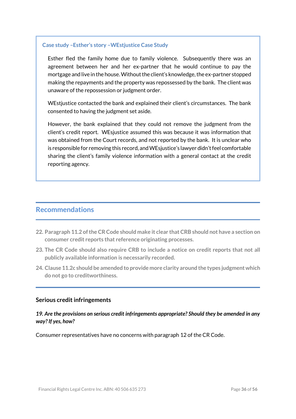#### **Case study –Esther's story –WEstjustice Case Study**

Esther fled the family home due to family violence. Subsequently there was an agreement between her and her ex-partner that he would continue to pay the mortgage and live in the house. Without the client's knowledge, the ex-partner stopped making the repayments and the property was repossessed by the bank. The client was unaware of the repossession or judgment order.

WEstjustice contacted the bank and explained their client's circumstances. The bank consented to having the judgment set aside.

However, the bank explained that they could not remove the judgment from the client's credit report. WEsjustice assumed this was because it was information that was obtained from the Court records, and not reported by the bank. It is unclear who is responsible for removing this record, and WEsjustice's lawyer didn't feel comfortable sharing the client's family violence information with a general contact at the credit reporting agency.

# **Recommendations**

- **22. Paragraph 11.2 ofthe CRCode should make it clear that CRB should not have a section on consumer credit reports that reference originating processes.**
- **23. The CR Code should also require CRB to include a notice on credit reports that not all publicly available information is necessarily recorded.**
- **24. Clause 11.2c should be amended to provide more clarity around the types judgmentwhich do not go to creditworthiness.**

#### **Serious credit infringements**

#### *19. Are the provisions on serious credit infringements appropriate? Should they be amended in any way? If yes, how?*

Consumer representatives have no concerns with paragraph 12 of the CR Code.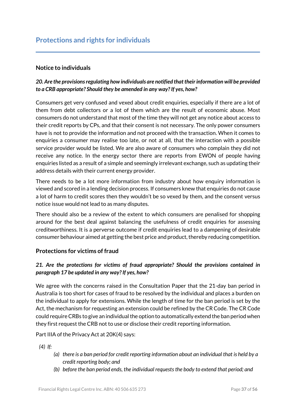## **Notice to individuals**

# *20. Are the provisions regulating how individuals are notified that their information will be provided to a CRB appropriate? Should they be amended in any way? If yes, how?*

Consumers get very confused and vexed about credit enquiries, especially if there are a lot of them from debt collectors or a lot of them which are the result of economic abuse. Most consumers do not understand that most of the time they will not get any notice about access to their credit reports by CPs, and that their consent is not necessary. The only power consumers have is not to provide the information and not proceed with the transaction. When it comes to enquiries a consumer may realise too late, or not at all, that the interaction with a possible service provider would be listed. We are also aware of consumers who complain they did not receive any notice. In the energy sector there are reports from EWON of people having enquiries listed as a result of a simple and seemingly irrelevant exchange, such as updating their address details with their current energy provider.

There needs to be a lot more information from industry about how enquiry information is viewed and scored in a lending decision process. If consumers knew that enquiries do not cause a lot of harm to credit scores then they wouldn't be so vexed by them, and the consent versus notice issue would not lead to as many disputes.

There should also be a review of the extent to which consumers are penalised for shopping around for the best deal against balancing the usefulness of credit enquiries for assessing creditworthiness. It is a perverse outcome if credit enquiries lead to a dampening of desirable consumer behaviour aimed at getting the best price and product, thereby reducing competition.

#### **Protections for victims of fraud**

## *21. Are the protections for victims of fraud appropriate? Should the provisions contained in paragraph 17 be updated in any way? If yes, how?*

We agree with the concerns raised in the Consultation Paper that the 21-day ban period in Australia is too short for cases of fraud to be resolved by the individual and places a burden on the individual to apply for extensions. While the length of time for the ban period is set by the Act, the mechanism for requesting an extension could be refined by the CR Code. The CR Code could require CRBs to give an individual the option to automatically extend the ban period when they first request the CRB not to use or disclose their credit reporting information.

Part IIIA of the Privacy Act at 20K(4) says:

 *(4) If:*

- *(a) there is a ban period for credit reporting information about an individual that is held by a credit reporting body; and*
- *(b) before the ban period ends, the individual requests the body to extend that period; and*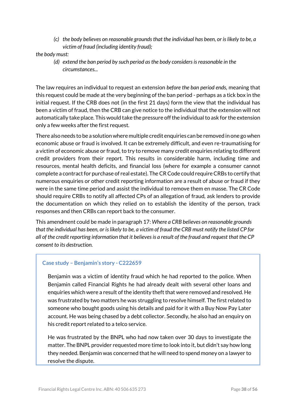*(c) the body believes on reasonable grounds that the individual has been, or is likely to be, a victim of fraud (including identity fraud);*

#### *the body must:*

*(d) extend the ban period by such period as the body considers is reasonable in the circumstances...*

The law requires an individual to request an extension *before the ban period ends,* meaning that this request could be made at the very beginning of the ban period - perhaps as a tick box in the initial request. If the CRB does not (in the first 21 days) form the view that the individual has been a victim of fraud, then the CRB can give notice to the individual that the extension will not automatically take place. This would take the pressure off the individual to ask for the extension only a few weeks after the first request.

There also needs to be a solution where multiple credit enquiries can be removed in one go when economic abuse or fraud is involved. It can be extremely difficult, and even re-traumatising for a victim of economic abuse or fraud, to try to remove many credit enquiries relating to different credit providers from their report. This results in considerable harm, including time and resources, mental health deficits, and financial loss (where for example a consumer cannot complete a contract for purchase of real estate). The CR Code could require CRBs to certify that numerous enquiries or other credit reporting information are a result of abuse or fraud if they were in the same time period and assist the individual to remove them en masse. The CR Code should require CRBs to notify all affected CPs of an allegation of fraud, ask lenders to provide the documentation on which they relied on to establish the identity of the person, track responses and then CRBs can report back to the consumer.

This amendment could be made in paragraph 17: *Where a CRB believes on reasonable grounds that the individual has been, or is likely to be, a victim of fraud the CRB must notify the listed CP for all of the credit reporting information that it believes is a result of the fraud and request that the CP consent to its destruction.*

#### **Case study – Benjamin's story - C222659**

Benjamin was a victim of identity fraud which he had reported to the police. When Benjamin called Financial Rights he had already dealt with several other loans and enquiries which were a result of the identity theft that were removed and resolved. He was frustrated by two matters he was struggling to resolve himself. The first related to someone who bought goods using his details and paid for it with a Buy Now Pay Later account. He was being chased by a debt collector. Secondly, he also had an enquiry on his credit report related to a telco service.

He was frustrated by the BNPL who had now taken over 30 days to investigate the matter. The BNPL provider requested more time to look into it, but didn't say how long they needed. Benjamin was concerned that he will need to spend money on a lawyer to resolve the dispute.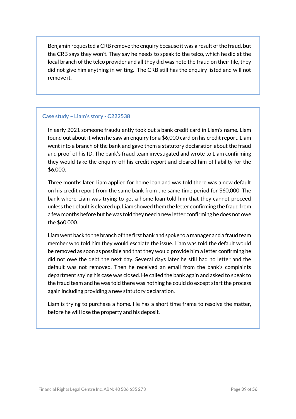Benjamin requested a CRB remove the enquiry because it was a result of the fraud, but the CRB says they won't. They say he needs to speak to the telco, which he did at the local branch of the telco provider and all they did was note the fraud on their file, they did not give him anything in writing. The CRB still has the enquiry listed and will not remove it.

#### **Case study – Liam's story - C222538**

In early 2021 someone fraudulently took out a bank credit card in Liam's name. Liam found out about it when he saw an enquiry for a \$6,000 card on his credit report. Liam went into a branch of the bank and gave them a statutory declaration about the fraud and proof of his ID. The bank's fraud team investigated and wrote to Liam confirming they would take the enquiry off his credit report and cleared him of liability for the \$6,000.

Three months later Liam applied for home loan and was told there was a new default on his credit report from the same bank from the same time period for \$60,000. The bank where Liam was trying to get a home loan told him that they cannot proceed unless the default is cleared up. Liam showed them the letter confirming the fraud from a few months before but he was told they need a new letter confirming he does not owe the \$60,000.

Liam went back to the branch of the first bank and spoke to a manager and a fraud team member who told him they would escalate the issue. Liam was told the default would be removed as soon as possible and that they would provide him a letter confirming he did not owe the debt the next day. Several days later he still had no letter and the default was not removed. Then he received an email from the bank's complaints department saying his case was closed. He called the bank again and asked to speak to the fraud team and he was told there was nothing he could do except start the process again including providing a new statutory declaration.

Liam is trying to purchase a home. He has a short time frame to resolve the matter, before he will lose the property and his deposit.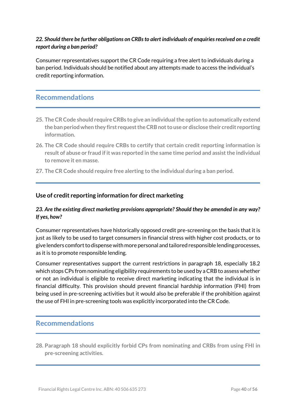## *22. Should there be further obligations on CRBs to alert individuals of enquiries received on a credit report during a ban period?*

Consumer representatives support the CR Code requiring a free alert to individuals during a ban period. Individuals should be notified about any attempts made to access the individual's credit reporting information.

# **Recommendations**

- **25. The CRCode should requireCRBs to give an individualthe option to automatically extend the ban periodwhen they first requesttheCRBnotto use or disclose their credit reporting information.**
- **26. The CR Code should require CRBs to certify that certain credit reporting information is result of abuse or fraud ifit was reported in the same time period and assistthe individual to remove it en masse.**
- **27. The CR Code should require free alerting to the individual during a ban period.**

#### **Use of credit reporting information for direct marketing**

#### *23. Are the existing direct marketing provisions appropriate? Should they be amended in any way? If yes, how?*

Consumer representatives have historically opposed credit pre-screening on the basis that it is just as likely to be used to target consumers in financial stress with higher cost products, or to give lenders comfort to dispense with more personal and tailored responsible lending processes, as it is to promote responsible lending.

Consumer representatives support the current restrictions in paragraph 18, especially 18.2 which stops CPs from nominating eligibility requirements to be used by a CRB to assess whether or not an individual is eligible to receive direct marketing indicating that the individual is in financial difficulty. This provision should prevent financial hardship information (FHI) from being used in pre-screening activities but it would also be preferable if the prohibition against the use of FHI in pre-screening tools was explicitly incorporated into the CR Code.

# **Recommendations**

**28. Paragraph 18 should explicitly forbid CPs from nominating and CRBs from using FHI in pre-screening activities.**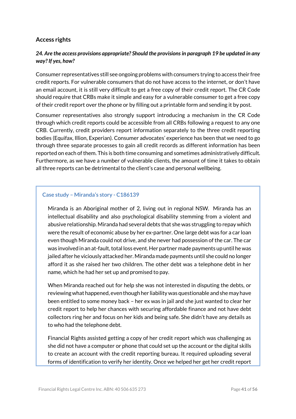## **Access rights**

### *24. Are the access provisions appropriate? Should the provisions in paragraph 19 be updated in any way? If yes, how?*

Consumer representatives still see ongoing problems with consumers trying to access their free credit reports. For vulnerable consumers that do not have access to the internet, or don't have an email account, it is still very difficult to get a free copy of their credit report. The CR Code should require that CRBs make it simple and easy for a vulnerable consumer to get a free copy of their credit report over the phone or by filling out a printable form and sending it by post.

Consumer representatives also strongly support introducing a mechanism in the CR Code through which credit reports could be accessible from all CRBs following a request to any one CRB. Currently, credit providers report information separately to the three credit reporting bodies (Equifax, Illion, Experian). Consumer advocates' experience has been that we need to go through three separate processes to gain all credit records as different information has been reported on each of them. This is both time consuming and sometimes administratively difficult. Furthermore, as we have a number of vulnerable clients, the amount of time it takes to obtain all three reports can be detrimental to the client's case and personal wellbeing.

#### **Case study – Miranda's story - C186139**

Miranda is an Aboriginal mother of 2, living out in regional NSW. Miranda has an intellectual disability and also psychological disability stemming from a violent and abusive relationship. Miranda had several debts that she was struggling to repay which were the result of economic abuse by her ex-partner. One large debt was for a car loan even though Miranda could not drive, and she never had possession of the car. The car was involved in an at-fault, total loss event. Her partner made payments up until he was jailed after he viciously attacked her. Miranda made payments until she could no longer afford it as she raised her two children. The other debt was a telephone debt in her name, which he had her set up and promised to pay.

When Miranda reached out for help she was not interested in disputing the debts, or reviewing what happened, even though her liability was questionable and she may have been entitled to some money back – her ex was in jail and she just wanted to clear her credit report to help her chances with securing affordable finance and not have debt collectors ring her and focus on her kids and being safe. She didn't have any details as to who had the telephone debt.

Financial Rights assisted getting a copy of her credit report which was challenging as she did not have a computer or phone that could set up the account or the digital skills to create an account with the credit reporting bureau. It required uploading several forms of identification to verify her identity. Once we helped her get her credit report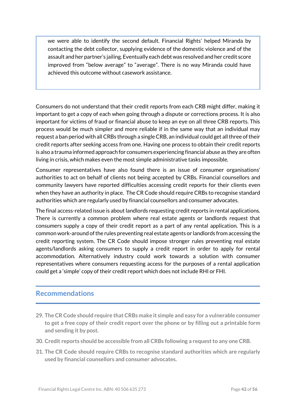we were able to identify the second default. Financial Rights' helped Miranda by contacting the debt collector, supplying evidence of the domestic violence and of the assault and her partner's jailing. Eventually each debt was resolved and her credit score improved from "below average" to "average". There is no way Miranda could have achieved this outcome without casework assistance.

Consumers do not understand that their credit reports from each CRB might differ, making it important to get a copy of each when going through a dispute or corrections process. It is also important for victims of fraud or financial abuse to keep an eye on all three CRB reports. This process would be much simpler and more reliable if in the same way that an individual may request a ban period with all CRBs through a single CRB, an individual could get all three of their credit reports after seeking access from one. Having one process to obtain their credit reports is also a trauma informed approach for consumers experiencing financial abuse as they are often living in crisis, which makes even the most simple administrative tasks impossible.

Consumer representatives have also found there is an issue of consumer organisations' authorities to act on behalf of clients not being accepted by CRBs. Financial counsellors and community lawyers have reported difficulties accessing credit reports for their clients even when they have an authority in place. The CR Code should require CRBs to recognise standard authorities which are regularly used by financial counsellors and consumer advocates.

The final access-related issue is about landlords requesting credit reports in rental applications. There is currently a common problem where real estate agents or landlords request that consumers supply a copy of their credit report as a part of any rental application. This is a common work-around of the rules preventing real estate agents or landlords from accessing the credit reporting system. The CR Code should impose stronger rules preventing real estate agents/landlords asking consumers to supply a credit report in order to apply for rental accommodation. Alternatively industry could work towards a solution with consumer representatives where consumers requesting access for the purposes of a rental application could get a 'simple' copy of their credit report which does not include RHI or FHI.

# **Recommendations**

- **29. The CR Code should require that CRBs make it simple and easy for a vulnerable consumer to get a free copy of their credit report over the phone or by filling out a printable form and sending it by post.**
- **30. Credit reports should be accessible from all CRBs following a requestto any one CRB.**
- **31. The CR Code should require CRBs to recognise standard authorities which are regularly used by financial counsellors and consumer advocates.**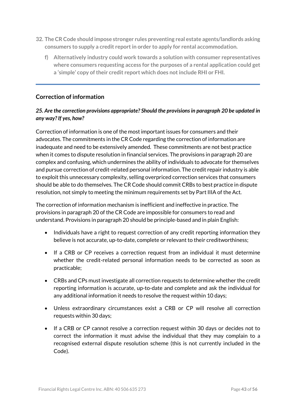- **32. The CR Code should impose stronger rules preventing real estate agents/landlords asking consumers to supply a credit reportin order to apply for rental accommodation.**
	- **f) Alternatively industry could work towards a solution with consumer representatives where consumers requesting access for the purposes of a rental application could get a 'simple' copy oftheir credit report which does not include RHI or FHI.**

# **Correction of information**

### *25. Are the correction provisions appropriate? Should the provisions in paragraph 20 be updated in any way? If yes, how?*

Correction of information is one of the most important issues for consumers and their advocates. The commitments in the CR Code regarding the correction of information are inadequate and need to be extensively amended. These commitments are not best practice when it comes to dispute resolution in financial services. The provisions in paragraph 20 are complex and confusing, which undermines the ability of individuals to advocate for themselves and pursue correction of credit-related personal information. The credit repair industry is able to exploit this unnecessary complexity, selling overpriced correction services that consumers should be able to do themselves. The CR Code should commit CRBs to best practice in dispute resolution, not simply to meeting the minimum requirements set by Part IIIA of the Act.

The correction of information mechanism is inefficient and ineffective in practice. The provisions in paragraph 20 of the CR Code are impossible for consumers to read and understand. Provisions in paragraph 20 should be principle-based and in plain English:

- Individuals have a right to request correction of any credit reporting information they believe is not accurate, up-to-date, complete or relevant to their creditworthiness;
- If a CRB or CP receives a correction request from an individual it must determine whether the credit-related personal information needs to be corrected as soon as practicable;
- CRBs and CPs must investigate all correction requests to determine whether the credit reporting information is accurate, up-to-date and complete and ask the individual for any additional information it needs to resolve the request within 10 days;
- Unless extraordinary circumstances exist a CRB or CP will resolve all correction requests within 30 days;
- If a CRB or CP cannot resolve a correction request within 30 days or decides not to correct the information it must advise the individual that they may complain to a recognised external dispute resolution scheme (this is not currently included in the Code).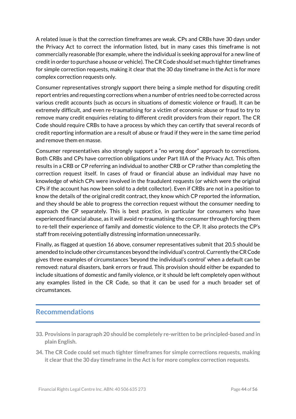A related issue is that the correction timeframes are weak. CPs and CRBs have 30 days under the Privacy Act to correct the information listed, but in many cases this timeframe is not commercially reasonable (for example, where the individual is seeking approval for a new line of credit in order to purchase a house or vehicle). The CR Code should set much tighter timeframes for simple correction requests, making it clear that the 30 day timeframe in the Act is for more complex correction requests only.

Consumer representatives strongly support there being a simple method for disputing credit report entries and requesting corrections when a number of entries need to be corrected across various credit accounts (such as occurs in situations of domestic violence or fraud). It can be extremely difficult, and even re-traumatising for a victim of economic abuse or fraud to try to remove many credit enquiries relating to different credit providers from their report. The CR Code should require CRBs to have a process by which they can certify that several records of credit reporting information are a result of abuse or fraud if they were in the same time period and remove them en masse.

Consumer representatives also strongly support a "no wrong door" approach to corrections. Both CRBs and CPs have correction obligations under Part IIIA of the Privacy Act. This often results in a CRB or CP referring an individual to another CRB or CP rather than completing the correction request itself. In cases of fraud or financial abuse an individual may have no knowledge of which CPs were involved in the fraudulent requests (or which were the original CPs if the account has now been sold to a debt collector). Even if CRBs are not in a position to know the details of the original credit contract, they know which CP reported the information, and they should be able to progress the correction request without the consumer needing to approach the CP separately. This is best practice, in particular for consumers who have experienced financial abuse, as it will avoid re-traumatising the consumer through forcing them to re-tell their experience of family and domestic violence to the CP. It also protects the CP's staff from receiving potentially distressing information unnecessarily.

Finally, as flagged at question 16 above, consumer representatives submit that 20.5 should be amended to include other circumstances beyond the individual's control.Currently the CR Code gives three examples of circumstances 'beyond the individual's control' when a default can be removed: natural disasters, bank errors or fraud. This provision should either be expanded to include situations of domestic and family violence, or it should be left completely open without any examples listed in the CR Code, so that it can be used for a much broader set of circumstances.

# **Recommendations**

- **33. Provisions in paragraph 20 should be completely re-written to be principled-based and in plain English.**
- **34. The CR Code could set much tighter timeframes for simple corrections requests, making it clear** that the 30 day timeframe in the Act is for more complex correction requests.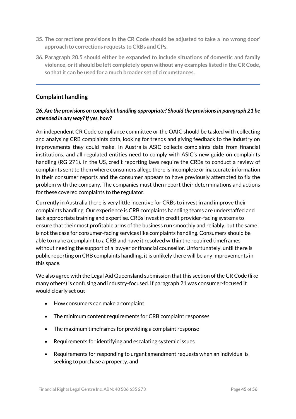- **35. The corrections provisions in the CR Code should be adjusted to take a 'no wrong door' approach to corrections requests to CRBs and CPs.**
- **36. Paragraph 20.5 should either be expanded to include situations of domestic and family violence, or it should be left completely open without any examples listed in the CR Code, so thatit can be used for a much broader set of circumstances.**

# **Complaint handling**

#### *26. Are the provisions on complaint handling appropriate? Should the provisions in paragraph 21 be amended in any way? If yes, how?*

An independent CR Code compliance committee or the OAIC should be tasked with collecting and analysing CRB complaints data, looking for trends and giving feedback to the industry on improvements they could make. In Australia ASIC collects complaints data from financial institutions, and all regulated entities need to comply with ASIC's new guide on complaints handling (RG 271). In the US, credit reporting laws require the CRBs to conduct a review of complaints sent to them where consumers allege there is incomplete or inaccurate information in their consumer reports and the consumer appears to have previously attempted to fix the problem with the company. The companies must then report their determinations and actions for these covered complaints to the regulator.

Currently in Australia there is very little incentive for CRBs to invest in and improve their complaints handling. Our experience is CRB complaints handling teams are understaffed and lack appropriate training and expertise. CRBs invest in credit provider-facing systems to ensure that their most profitable arms of the business run smoothly and reliably, but the same is not the case for consumer-facing services like complaints handling. Consumers should be able to make a complaint to a CRB and have it resolved within the required timeframes without needing the support of a lawyer or financial counsellor. Unfortunately, until there is public reporting on CRB complaints handling, it is unlikely there will be any improvements in this space.

We also agree with the Legal Aid Queensland submission that this section of the CR Code (like many others) is confusing and industry-focused. If paragraph 21 was consumer-focused it would clearly set out

- How consumers can make a complaint
- The minimum content requirements for CRB complaint responses
- The maximum timeframes for providing a complaint response
- Requirements for identifying and escalating systemic issues
- Requirements for responding to urgent amendment requests when an individual is seeking to purchase a property, and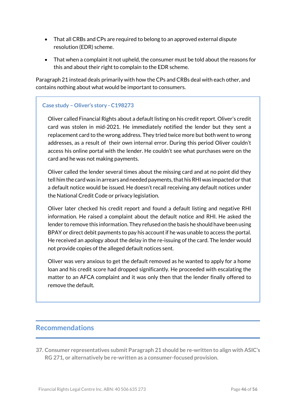- That all CRBs and CPs are required to belong to an approved external dispute resolution (EDR) scheme.
- $\bullet$  That when a complaint it not upheld, the consumer must be told about the reasons for this and about their right to complain to the EDR scheme.

Paragraph 21 instead deals primarily with how the CPs and CRBs deal with each other, and contains nothing about what would be important to consumers.

#### **Case study – Oliver's story - C198273**

Oliver called Financial Rights about a default listing on his credit report. Oliver's credit card was stolen in mid-2021. He immediately notified the lender but they sent a replacement card to the wrong address. They tried twice more but both went to wrong addresses, as a result of their own internal error. During this period Oliver couldn't access his online portal with the lender. He couldn't see what purchases were on the card and he was not making payments.

Oliver called the lender several times about the missing card and at no point did they tell him the card was in arrears and needed payments, that his RHI was impacted or that a default notice would be issued. He doesn't recall receiving any default notices under the National Credit Code or privacy legislation.

Oliver later checked his credit report and found a default listing and negative RHI information. He raised a complaint about the default notice and RHI. He asked the lender to remove this information. They refused on the basis he should have been using BPAY or direct debit payments to pay his account if he was unable to access the portal. He received an apology about the delay in the re-issuing of the card. The lender would not provide copies of the alleged default notices sent.

Oliver was very anxious to get the default removed as he wanted to apply for a home loan and his credit score had dropped significantly. He proceeded with escalating the matter to an AFCA complaint and it was only then that the lender finally offered to remove the default.

# **Recommendations**

**37. Consumer representatives submit Paragraph 21 should be re-written to align with ASIC's RG 271, or alternatively be re-written as a consumer-focused provision.**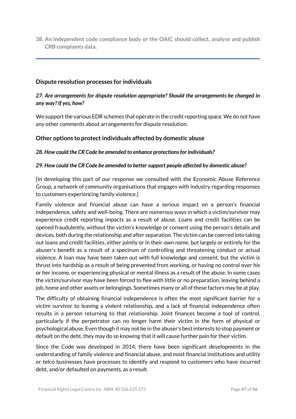**38. An independent code compliance body or the OAIC should collect, analyse and publish CRB complaints data.**

#### **Dispute resolution processes for individuals**

#### *27. Are arrangements for dispute resolution appropriate? Should the arrangements be changed in any way? If yes, how?*

We support the various EDR schemes that operate in the credit reporting space. We do not have any other comments about arrangements for dispute resolution.

#### **Other options to protect individuals affected by domestic abuse**

#### *28. How could the CR Code be amended to enhance protections for individuals?*

#### *29. How could the CR Code be amended to better support people affected by domestic abuse?*

[In developing this part of our response we consulted with the Economic Abuse Reference Group, a network of community organisations that engages with industry regarding responses to customers experiencing family violence.]

Family violence and financial abuse can have a serious impact on a person's financial independence, safety and well-being. There are numerous ways in which a victim/survivor may experience credit reporting impacts as a result of abuse. Loans and credit facilities can be opened fraudulently, without the victim's knowledge or consent using the person's details and devices, both during the relationship and after separation. The victim can be coerced into taking out loans and credit facilities, either jointly or in their own name, but largely or entirely for the abuser's benefit as a result of a spectrum of controlling and threatening conduct or actual violence. A loan may have been taken out with full knowledge and consent, but the victim is thrust into hardship as a result of being prevented from working, or having no control over his or her income, or experiencing physical or mental illness as a result of the abuse. In some cases the victim/survivor may have been forced to flee with little or no preparation, leaving behind a job, home and other assets or belongings. Sometimes many or all of these factors may be at play.

The difficulty of obtaining financial independence is often the most significant barrier for a victim survivor to leaving a violent relationship, and a lack of financial independence often results in a person returning to that relationship. Joint finances become a tool of control, particularly if the perpetrator can no longer harm their victim in the form of physical or psychological abuse. Even though it may not be in the abuser's bestinterests to stop payment or default on the debt, they may do so knowing that it will cause further pain for their victim.

Since the Code was developed in 2014, there have been significant developments in the understanding of family violence and financial abuse, and most financial institutions and utility or telco businesses have processes to identify and respond to customers who have incurred debt, and/or defaulted on payments, as a result.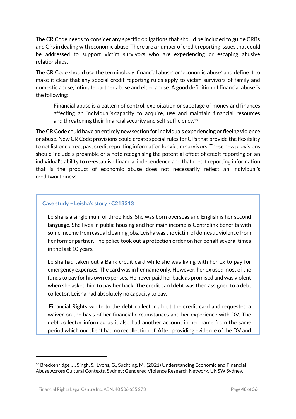The CR Code needs to consider any specific obligations that should be included to guide CRBs and CPs in dealing with economic abuse. There are a number of credit reporting issues that could be addressed to support victim survivors who are experiencing or escaping abusive relationships.

The CR Code should use the terminology 'financial abuse' or 'economic abuse' and define it to make it clear that any special credit reporting rules apply to victim survivors of family and domestic abuse, intimate partner abuse and elder abuse. A good definition of financial abuse is the following:

Financial abuse is a pattern of control, exploitation or sabotage of money and finances affecting an individual's capacity to acquire, use and maintain financial resources and threatening their financial security and self-sufficiency.<sup>10</sup>

The CR Code could have an entirely new section for individuals experiencing or fleeing violence or abuse. New CR Code provisions could create special rules for CPs that provide the flexibility to not list or correct past credit reporting information for victim survivors. These new provisions should include a preamble or a note recognising the potential effect of credit reporting on an individual's ability to re-establish financial independence and that credit reporting information that is the product of economic abuse does not necessarily reflect an individual's creditworthiness.

#### **Case study – Leisha's story - C213313**

Leisha is a single mum of three kids. She was born overseas and English is her second language. She lives in public housing and her main income is Centrelink benefits with some income from casual cleaning jobs. Leisha was the victim of domestic violence from her former partner. The police took out a protection order on her behalf several times in the last 10 years.

Leisha had taken out a Bank credit card while she was living with her ex to pay for emergency expenses. The card was in her name only. However, her ex used most of the funds to pay for his own expenses. He never paid her back as promised and was violent when she asked him to pay her back. The credit card debt was then assigned to a debt collector. Leisha had absolutely no capacity to pay.

Financial Rights wrote to the debt collector about the credit card and requested a waiver on the basis of her financial circumstances and her experience with DV. The debt collector informed us it also had another account in her name from the same period which our client had no recollection of. After providing evidence of the DV and

<sup>10</sup> Breckenridge, J., Singh, S., Lyons, G., Suchting, M., (2021) Understanding Economic and Financial Abuse Across Cultural Contexts. Sydney: Gendered Violence Research Network, UNSW Sydney.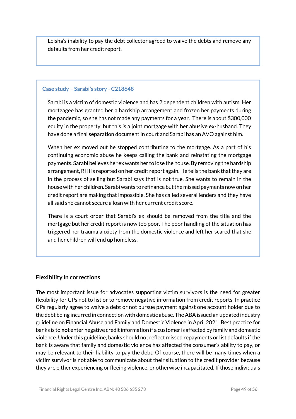Leisha's inability to pay the debt collector agreed to waive the debts and remove any defaults from her credit report.

#### **Case study – Sarabi's story - C218648**

Sarabi is a victim of domestic violence and has 2 dependent children with autism. Her mortgagee has granted her a hardship arrangement and frozen her payments during the pandemic, so she has not made any payments for a year. There is about \$300,000 equity in the property, but this is a joint mortgage with her abusive ex-husband. They have done a final separation document in court and Sarabi has an AVO against him.

When her ex moved out he stopped contributing to the mortgage. As a part of his continuing economic abuse he keeps calling the bank and reinstating the mortgage payments. Sarabi believes her ex wants her to lose the house. By removing the hardship arrangement, RHI is reported on her credit report again. He tells the bank that they are in the process of selling but Sarabi says that is not true. She wants to remain in the house with her children. Sarabi wants to refinance but the missed payments now on her credit report are making that impossible. She has called several lenders and they have all said she cannot secure a loan with her current credit score.

There is a court order that Sarabi's ex should be removed from the title and the mortgage but her credit report is now too poor. The poor handling of the situation has triggered her trauma anxiety from the domestic violence and left her scared that she and her children will end up homeless.

# **Flexibility in corrections**

The most important issue for advocates supporting victim survivors is the need for greater flexibility for CPs not to list or to remove negative information from credit reports. In practice CPs regularly agree to waive a debt or not pursue payment against one account holder due to the debt being incurred in connection with domestic abuse. The ABA issued an updated industry guideline on Financial Abuse and Family and Domestic Violence in April 2021. Best practice for banks is to **not** enter negative credit information if a customer is affected by family and domestic violence. Under this guideline, banks should not reflect missed repayments or list defaults if the bank is aware that family and domestic violence has affected the consumer's ability to pay, or may be relevant to their liability to pay the debt. Of course, there will be many times when a victim survivor is not able to communicate about their situation to the credit provider because they are either experiencing or fleeing violence, or otherwise incapacitated. If those individuals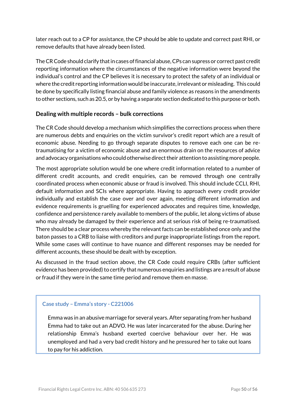later reach out to a CP for assistance, the CP should be able to update and correct past RHI, or remove defaults that have already been listed.

The CR Code should clarify that in cases of financial abuse, CPs can supress or correct past credit reporting information where the circumstances of the negative information were beyond the individual's control and the CP believes it is necessary to protect the safety of an individual or where the credit reporting information would be inaccurate, irrelevant or misleading. This could be done by specifically listing financial abuse and family violence as reasons in the amendments to other sections, such as 20.5, or by having a separate section dedicated to this purpose or both.

# **Dealing with multiple records – bulk corrections**

The CR Code should develop a mechanism which simplifies the corrections process when there are numerous debts and enquiries on the victim survivor's credit report which are a result of economic abuse. Needing to go through separate disputes to remove each one can be retraumatising for a victim of economic abuse and an enormous drain on the resources of advice and advocacy organisations who could otherwise direct their attention to assisting more people.

The most appropriate solution would be one where credit information related to a number of different credit accounts, and credit enquiries, can be removed through one centrally coordinated process when economic abuse or fraud is involved. This should include CCLI, RHI, default information and SCIs where appropriate. Having to approach every credit provider individually and establish the case over and over again, meeting different information and evidence requirements is gruelling for experienced advocates and requires time, knowledge, confidence and persistence rarely available to members of the public, let along victims of abuse who may already be damaged by their experience and at serious risk of being re-traumatised. There should be a clear process whereby the relevant facts can be established once only and the baton passes to a CRB to liaise with creditors and purge inappropriate listings from the report. While some cases will continue to have nuance and different responses may be needed for different accounts, these should be dealt with by exception.

As discussed in the fraud section above, the CR Code could require CRBs (after sufficient evidence has been provided) to certify that numerous enquiries and listings are a result of abuse or fraud if they were in the same time period and remove them en masse.

#### **Case study – Emma's story - C221006**

Emma was in an abusive marriage for several years. After separating from her husband Emma had to take out an ADVO. He was later incarcerated for the abuse. During her relationship Emma's husband exerted coercive behaviour over her. He was unemployed and had a very bad credit history and he pressured her to take out loans to pay for his addiction.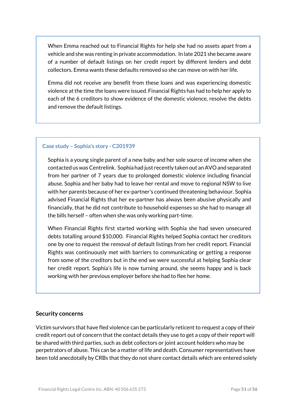When Emma reached out to Financial Rights for help she had no assets apart from a vehicle and she was renting in private accommodation. In late 2021 she became aware of a number of default listings on her credit report by different lenders and debt collectors. Emma wants these defaults removed so she can move on with her life.

Emma did not receive any benefit from these loans and was experiencing domestic violence at the time the loans were issued. Financial Rights has had to help her apply to each of the 6 creditors to show evidence of the domestic violence, resolve the debts and remove the default listings.

#### **Case study – Sophia's story - C201939**

Sophia is a young single parent of a new baby and her sole source of income when she contacted us was Centrelink. Sophia had just recently taken out an AVO and separated from her partner of 7 years due to prolonged domestic violence including financial abuse. Sophia and her baby had to leave her rental and move to regional NSW to live with her parents because of her ex-partner's continued threatening behaviour. Sophia advised Financial Rights that her ex-partner has always been abusive physically and financially, that he did not contribute to household expenses so she had to manage all the bills herself – often when she was only working part-time.

When Financial Rights first started working with Sophia she had seven unsecured debts totalling around \$10,000. Financial Rights helped Sophia contact her creditors one by one to request the removal of default listings from her credit report. Financial Rights was continuously met with barriers to communicating or getting a response from some of the creditors but in the end we were successful at helping Sophia clear her credit report. Sophia's life is now turning around, she seems happy and is back working with her previous employer before she had to flee her home.

#### **Security concerns**

Victim survivors that have fled violence can be particularly reticent to request a copy of their credit report out of concern that the contact details they use to get a copy of their report will be shared with third parties, such as debt collectors or joint account holders who may be perpetrators of abuse. This can be a matter of life and death. Consumer representatives have been told anecdotally by CRBs that they do not share contact details which are entered solely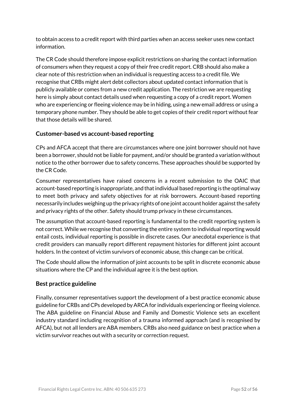to obtain access to a credit report with third parties when an access seeker uses new contact information.

The CR Code should therefore impose explicit restrictions on sharing the contact information of consumers when they request a copy of their free credit report. CRB should also make a clear note of this restriction when an individual is requesting access to a credit file. We recognise that CRBs might alert debt collectors about updated contact information that is publicly available or comes from a new credit application. The restriction we are requesting here is simply about contact details used when requesting a copy of a credit report. Women who are experiencing or fleeing violence may be in hiding, using a new email address or using a temporary phone number. They should be able to get copies of their credit report without fear that those details will be shared.

# **Customer-based vs account-based reporting**

CPs and AFCA accept that there are circumstances where one joint borrower should not have been a borrower, should not be liable for payment, and/or should be granted a variation without notice to the other borrower due to safety concerns. These approaches should be supported by the CR Code.

Consumer representatives have raised concerns in a recent submission to the OAIC that account-based reporting is inappropriate, and that individual based reporting is the optimal way to meet both privacy and safety objectives for at risk borrowers. Account-based reporting necessarily includes weighing up the privacy rights of one joint account holder against the safety and privacy rights of the other. Safety should trump privacy in these circumstances.

The assumption that account-based reporting is fundamental to the credit reporting system is not correct. While we recognise that converting the entire system to individual reporting would entail costs, individual reporting is possible in discrete cases. Our anecdotal experience is that credit providers can manually report different repayment histories for different joint account holders. In the context of victim survivors of economic abuse, this change can be critical.

The Code should allow the information of joint accounts to be split in discrete economic abuse situations where the CP and the individual agree it is the best option.

#### **Best practice guideline**

Finally, consumer representatives support the development of a best practice economic abuse guideline for CRBs and CPs developed by ARCA for individuals experiencing or fleeing violence. The ABA guideline on Financial Abuse and Family and Domestic Violence sets an excellent industry standard including recognition of a trauma informed approach (and is recognised by AFCA), but not all lenders are ABA members. CRBs also need guidance on best practice when a victim survivor reaches out with a security or correction request.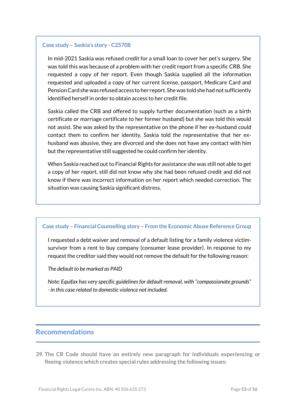#### **Case study – Saskia's story - C25708**

In mid-2021 Saskia was refused credit for a small loan to cover her pet's surgery. She was told this was because of a problem with her credit report from a specific CRB. She requested a copy of her report. Even though Saskia supplied all the information requested and uploaded a copy of her current license, passport, Medicare Card and Pension Card she was refused access to her report. She was told she had not sufficiently identified herself in order to obtain access to her credit file.

Saskia called the CRB and offered to supply further documentation (such as a birth certificate or marriage certificate to her former husband) but she was told this would not assist. She was asked by the representative on the phone if her ex-husband could contact them to confirm her identity. Saskia told the representative that her exhusband was abusive, they are divorced and she does not have any contact with him but the representative still suggested he could confirm her identity.

When Saskia reached out to Financial Rights for assistance she was still not able to get a copy of her report, still did not know why she had been refused credit and did not know if there was incorrect information on her report which needed correction. The situation was causing Saskia significant distress.

#### **Case study – Financial Counselling story – From the Economic Abuse Reference Group**

I requested a debt waiver and removal of a default listing for a family violence victimsurvivor from a rent to buy company (consumer lease provider). In response to my request the creditor said they would not remove the default for the following reason:

#### *The default to be marked as PAID*

*Note: Equifax has very specific guidelines for default removal, with "compassionate grounds" - in this case related to domestic violence not included.*

### **Recommendations**

**39. The CR Code should have an entirely new paragraph for individuals experiencing or fleeing violence which creates special rules addressing the following issues:**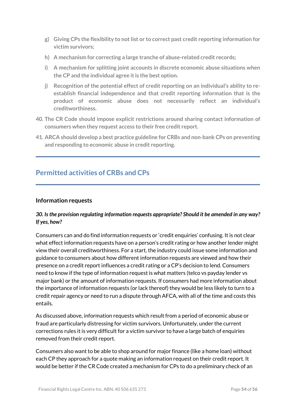- **g) Giving CPs the flexibility to not list or to correct past credit reporting information for victim survivors;**
- **h) A mechanism for correcting a large tranche of abuse-related credit records;**
- **i) A mechanism for splitting joint accounts in discrete economic abuse situations when the CP and the individual agree itis the best option.**
- **j) Recognition of the potential effect of credit reporting on an individual's ability to reestablish financial independence and that credit reporting information that is the product of economic abuse does not necessarily reflect an individual's creditworthiness.**
- **40. The CR Code should impose explicit restrictions around sharing contact information of consumers when they request access to their free credit report.**
- **41. ARCA should develop a best practice guideline for CRBs and non-bank CPs on preventing and responding to economic abuse in credit reporting.**

# **Permitted activities of CRBs and CPs**

#### **Information requests**

#### *30. Is the provision regulating information requests appropriate? Should it be amended in any way? If yes, how?*

Consumers can and do find information requests or 'credit enquiries' confusing. It is not clear what effect information requests have on a person's credit rating or how another lender might view their overall creditworthiness. For a start, the industry could issue some information and guidance to consumers about how different information requests are viewed and how their presence on a credit report influences a credit rating or a CP's decision to lend. Consumers need to know if the type of information request is what matters (telco vs payday lender vs major bank) or the amount of information requests. If consumers had more information about the importance of information requests (or lack thereof) they would be less likely to turn to a credit repair agency or need to run a dispute through AFCA, with all of the time and costs this entails.

As discussed above, information requests which result from a period of economic abuse or fraud are particularly distressing for victim survivors. Unfortunately, under the current corrections rules it is very difficult for a victim survivor to have a large batch of enquiries removed from their credit report.

Consumers also want to be able to shop around for major finance (like a home loan) without each CP they approach for a quote making an information request on their credit report. It would be better if the CR Code created a mechanism for CPs to do a preliminary check of an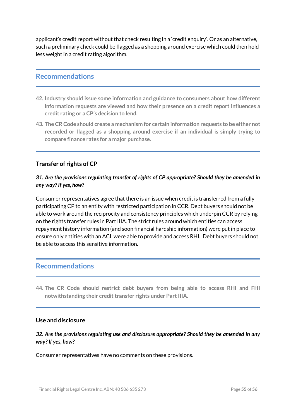applicant's credit report without that check resulting in a 'credit enquiry'. Or as an alternative, such a preliminary check could be flagged as a shopping around exercise which could then hold less weight in a credit rating algorithm.

# **Recommendations**

- **42. Industry should issue some information and guidance to consumers about how different information requests are viewed and how their presence on a credit report influences a credit rating or a CP's decision to lend.**
- **43. The CR Code should create a mechanism for certain information requests to be either not recorded or flagged as a shopping around exercise if an individual is simply trying to compare finance rates for a major purchase.**

#### **Transfer of rights of CP**

### *31. Are the provisions regulating transfer of rights of CP appropriate? Should they be amended in any way? If yes, how?*

Consumer representatives agree that there is an issue when credit is transferred from a fully participating CP to an entity with restricted participation in CCR. Debt buyers should not be able to work around the reciprocity and consistency principles which underpin CCR by relying on the rights transfer rules in Part IIIA. The strict rules around which entities can access repayment history information (and soon financial hardship information) were put in place to ensure only entities with an ACL were able to provide and access RHI. Debt buyers should not be able to access this sensitive information.

# **Recommendations**

**44. The CR Code should restrict debt buyers from being able to access RHI and FHI notwithstanding their credit transfer rights under Part IIIA.**

#### **Use and disclosure**

*32. Are the provisions regulating use and disclosure appropriate? Should they be amended in any way? If yes, how?*

Consumer representatives have no comments on these provisions.